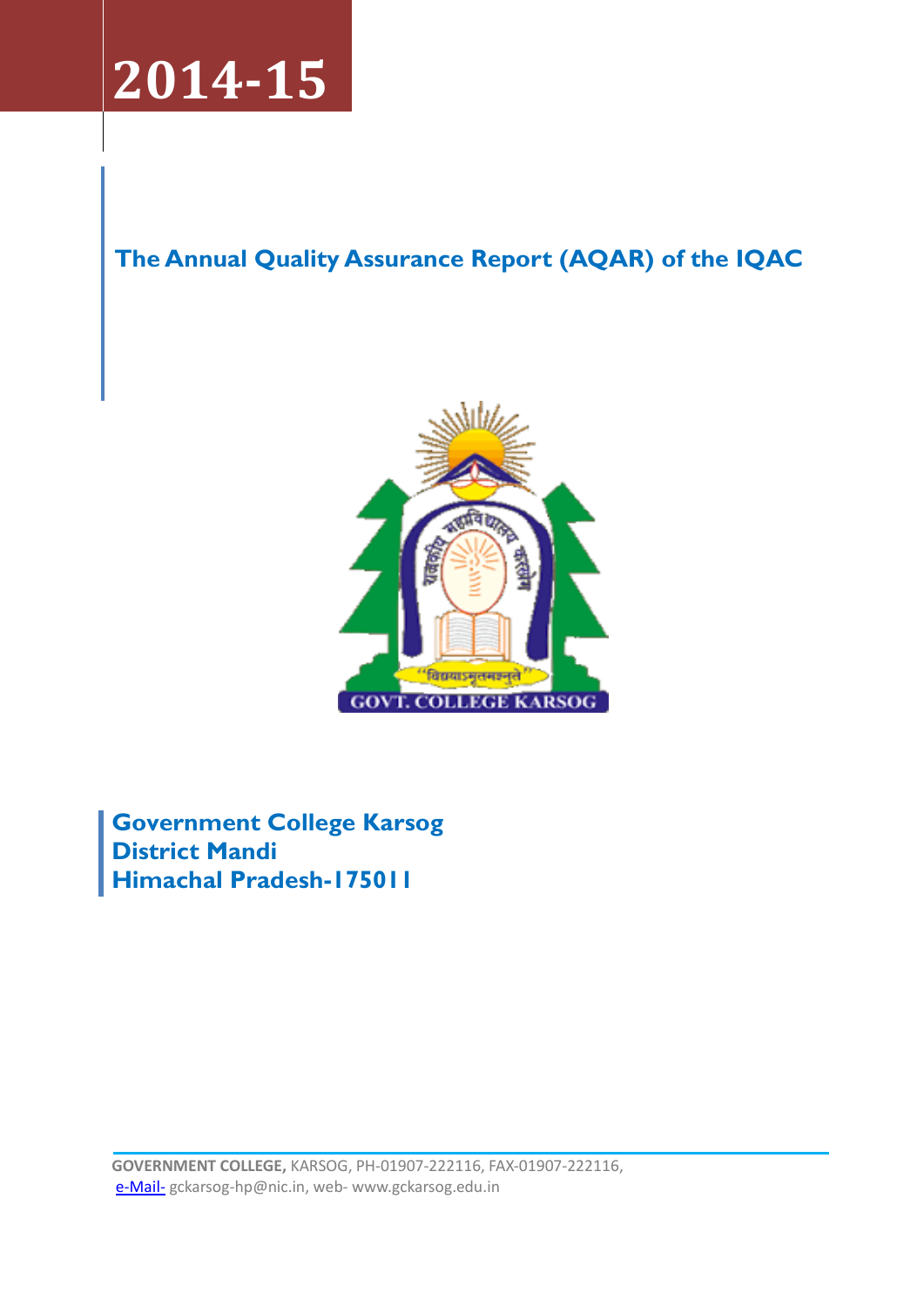

# The Annual Quality Assurance Report (AQAR) of the IQAC



Government College Karsog District Mandi Himachal Pradesh-175011

GOVERNMENT COLLEGE, KARSOG, PH-01907-222116, FAX-01907-222116, [e-Mail-](mailto:e-Mail-pcbargarh@gmail.com) gckarsog-hp@nic.in, web- www.gckarsog.edu.in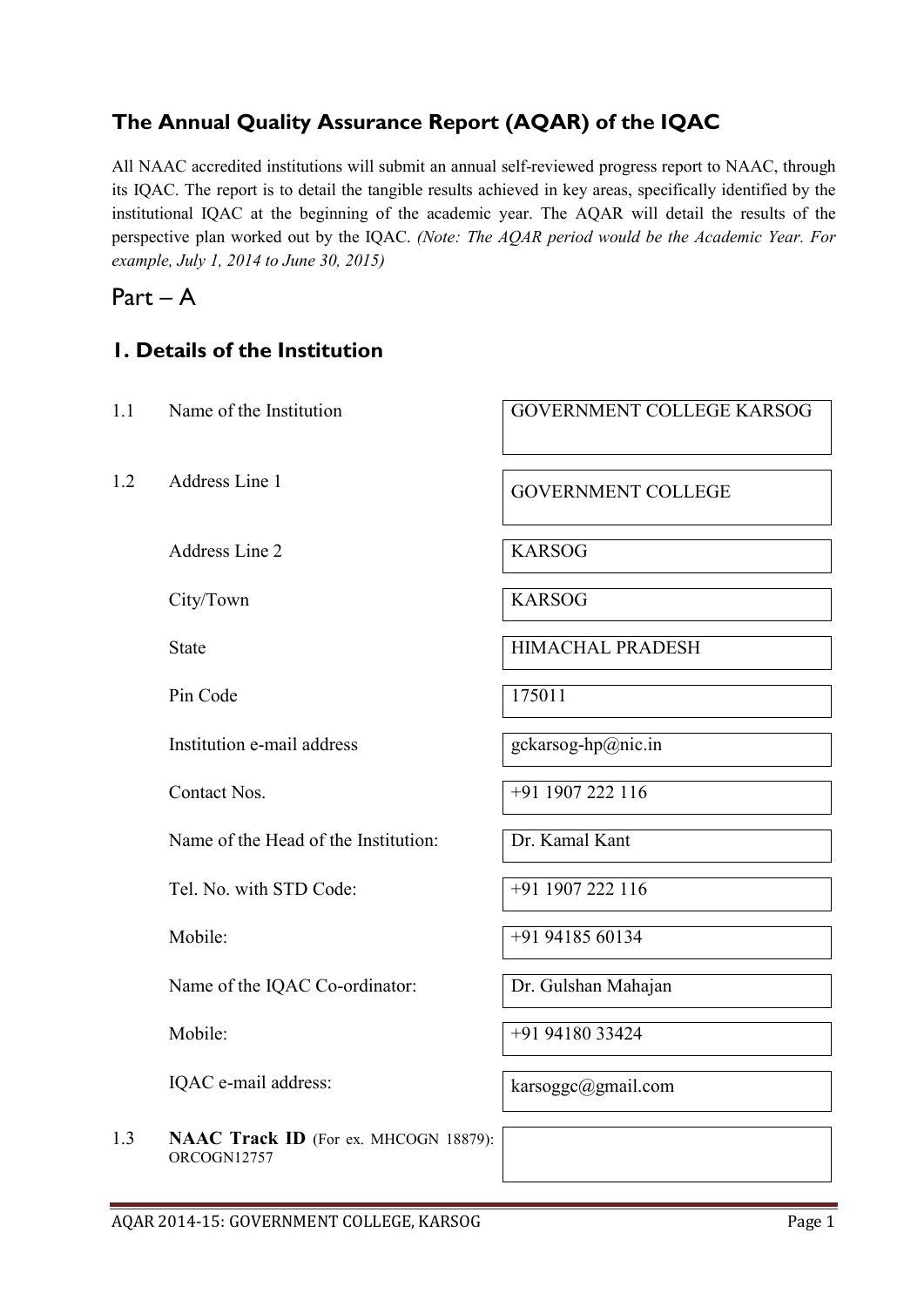# The Annual Quality Assurance Report (AQAR) of the IQAC

All NAAC accredited institutions will submit an annual self-reviewed progress report to NAAC, through its IQAC. The report is to detail the tangible results achieved in key areas, specifically identified by the institutional IQAC at the beginning of the academic year. The AQAR will detail the results of the perspective plan worked out by the IQAC. *(Note: The AQAR period would be the Academic Year. For example, July 1, 2014 to June 30, 2015)*

# Part – A

## 1. Details of the Institution

| 1.1 | Name of the Institution                              | GOVERNMENT COLLEGE KARSOG |  |
|-----|------------------------------------------------------|---------------------------|--|
| 1.2 | Address Line 1                                       | <b>GOVERNMENT COLLEGE</b> |  |
|     | Address Line 2                                       | <b>KARSOG</b>             |  |
|     | City/Town                                            | <b>KARSOG</b>             |  |
|     | <b>State</b>                                         | <b>HIMACHAL PRADESH</b>   |  |
|     | Pin Code                                             | 175011                    |  |
|     | Institution e-mail address                           | gckarsog-hp@nic.in        |  |
|     | Contact Nos.                                         | +91 1907 222 116          |  |
|     | Name of the Head of the Institution:                 | Dr. Kamal Kant            |  |
|     | Tel. No. with STD Code:                              | +91 1907 222 116          |  |
|     | Mobile:                                              | +91 94185 60134           |  |
|     | Name of the IQAC Co-ordinator:                       | Dr. Gulshan Mahajan       |  |
|     | Mobile:                                              | +91 94180 33424           |  |
|     | IQAC e-mail address:                                 | karsoggc@gmail.com        |  |
| 1.3 | NAAC Track ID (For ex. MHCOGN 18879):<br>ORCOGN12757 |                           |  |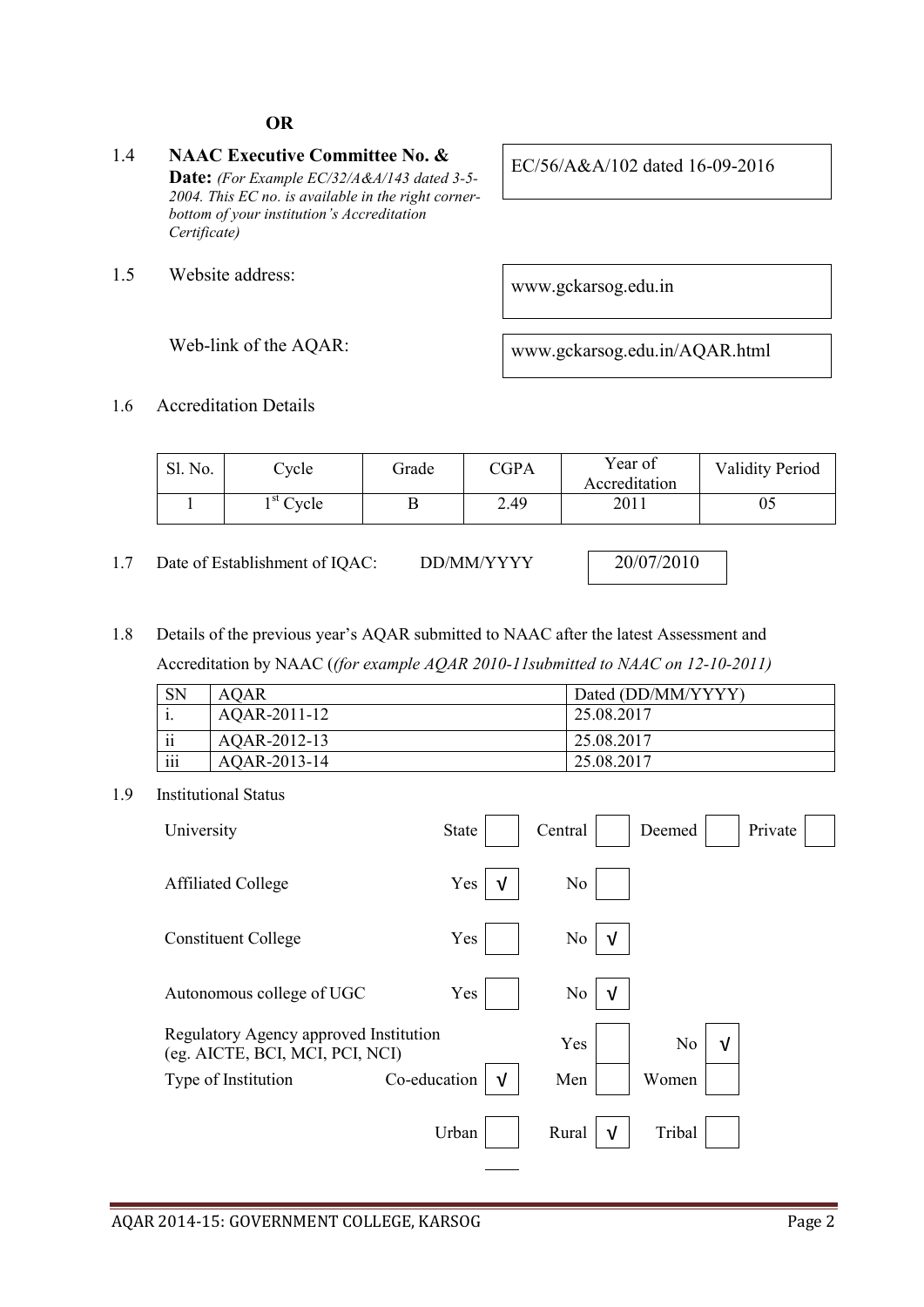## OR

- 1.4 NAAC Executive Committee No. & Date: *(For Example EC/32/A&A/143 dated 3-5- 2004. This EC no. is available in the right cornerbottom of your institution's Accreditation Certificate)*
- 1.5 Website address: www.gckarsog.edu.in

EC/56/A&A/102 dated 16-09-2016

Web-link of the AQAR: www.gckarsog.edu.in/AQAR.html

## 1.6 Accreditation Details

| Sl. No. | `vcle                       | Grade | CGPA | Year of<br>Accreditation | <b>Validity Period</b> |
|---------|-----------------------------|-------|------|--------------------------|------------------------|
|         | $\cdot$ <sup>st</sup> Cycle |       | 2.49 | 2011                     | UJ                     |

1.7 Date of Establishment of IQAC: DD/MM/YYYY | 20/07/2010

1.8 Details of the previous year's AQAR submitted to NAAC after the latest Assessment and

Accreditation by NAAC (*(for example AQAR 2010-11submitted to NAAC on 12-10-2011)*

| <b>SN</b>           | AOAR         | Dated (DD/MM/YYYY) |
|---------------------|--------------|--------------------|
| . .                 | AQAR-2011-12 | 25.08.2017         |
| $\cdot \cdot$<br>11 | AOAR-2012-13 | 25.08.2017         |
| $\cdots$<br>111     | AQAR-2013-14 | 25.08.2017         |

1.9 Institutional Status

| University                                                                | <b>State</b> | Central        | Private<br>Deemed |
|---------------------------------------------------------------------------|--------------|----------------|-------------------|
| <b>Affiliated College</b>                                                 | Yes<br>V     | N <sub>0</sub> |                   |
| <b>Constituent College</b>                                                | Yes          | No<br>ν        |                   |
| Autonomous college of UGC                                                 | Yes          | No<br>ν        |                   |
| Regulatory Agency approved Institution<br>(eg. AICTE, BCI, MCI, PCI, NCI) |              | Yes            | No<br>V           |
| Co-education<br>Type of Institution                                       | $\sqrt{ }$   | Men            | Women             |
|                                                                           | Urban        | Rural<br>V     | Tribal            |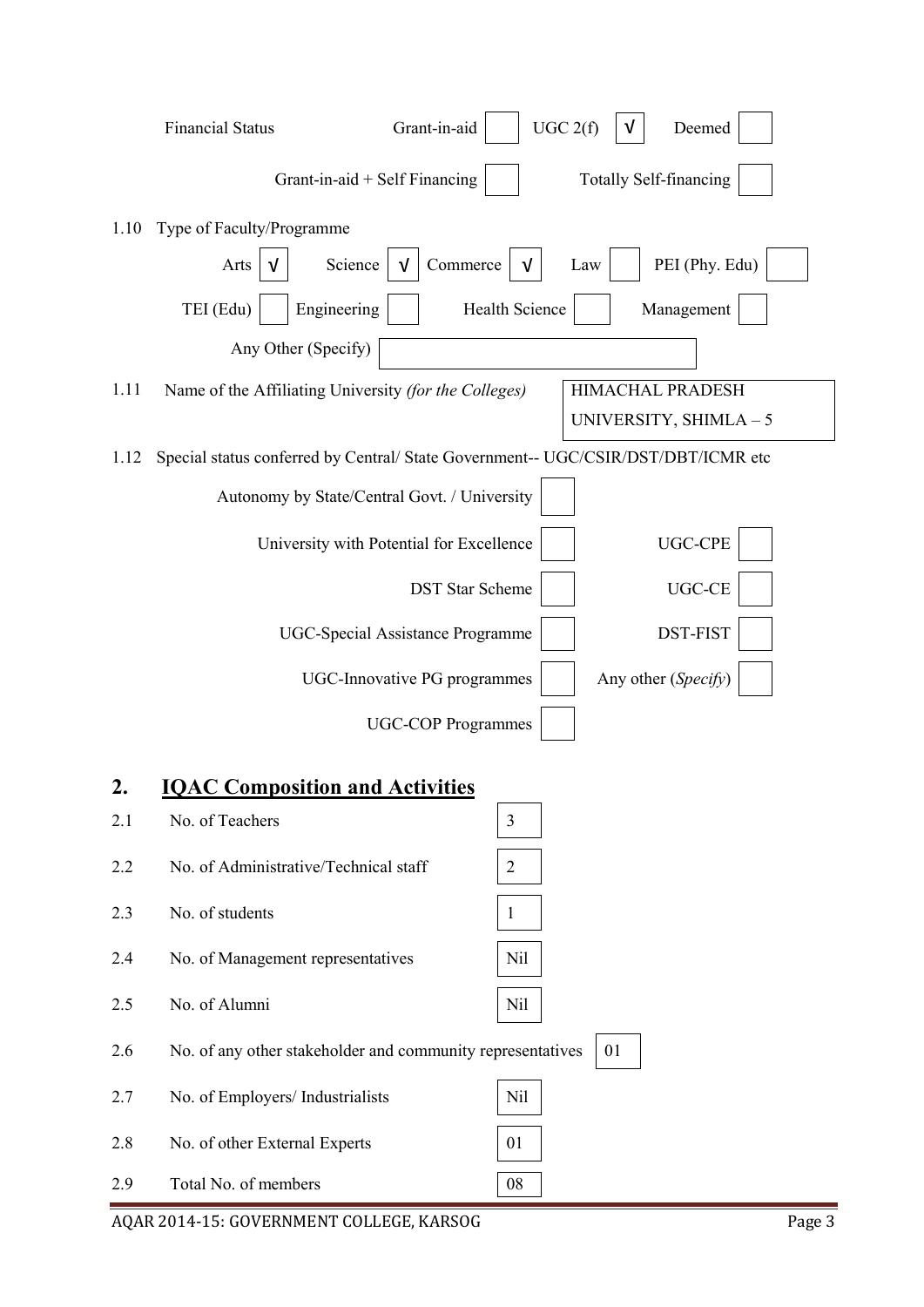|      | UGC 2(f)<br>Grant-in-aid<br><b>Financial Status</b>                               | Deemed                                   |
|------|-----------------------------------------------------------------------------------|------------------------------------------|
|      | Grant-in-aid + Self Financing                                                     | <b>Totally Self-financing</b>            |
| 1.10 | Type of Faculty/Programme                                                         |                                          |
|      | Science<br>Commerce<br>Arts<br>V                                                  | PEI (Phy. Edu)<br>Law                    |
|      | TEI (Edu)<br>Engineering<br>Health Science                                        | Management                               |
|      | Any Other (Specify)                                                               |                                          |
| 1.11 | Name of the Affiliating University (for the Colleges)                             | HIMACHAL PRADESH<br>UNIVERSITY, SHIMLA-5 |
| 1.12 | Special status conferred by Central/ State Government-- UGC/CSIR/DST/DBT/ICMR etc |                                          |
|      | Autonomy by State/Central Govt. / University                                      |                                          |
|      | University with Potential for Excellence                                          | <b>UGC-CPE</b>                           |
|      | <b>DST</b> Star Scheme                                                            | UGC-CE                                   |
|      | <b>UGC-Special Assistance Programme</b>                                           | DST-FIST                                 |
|      | UGC-Innovative PG programmes                                                      | Any other (Specify)                      |
|      | <b>UGC-COP Programmes</b>                                                         |                                          |
| 2.   | <b>IQAC Composition and Activities</b>                                            |                                          |
| 2.1  | No. of Teachers<br>3                                                              |                                          |
| 2.2  | No. of Administrative/Technical staff<br>$\overline{2}$                           |                                          |
| 2.3  | No. of students<br>1                                                              |                                          |
| 2.4  | No. of Management representatives<br>Nil                                          |                                          |
| 2.5  | No. of Alumni<br>Nil                                                              |                                          |
| 2.6  | No. of any other stakeholder and community representatives                        | 01                                       |
| 2.7  | No. of Employers/ Industrialists<br>Nil                                           |                                          |
| 2.8  | No. of other External Experts<br>01                                               |                                          |
| 2.9  | Total No. of members<br>08                                                        |                                          |

AQAR 2014-15: GOVERNMENT COLLEGE, KARSOG Page 3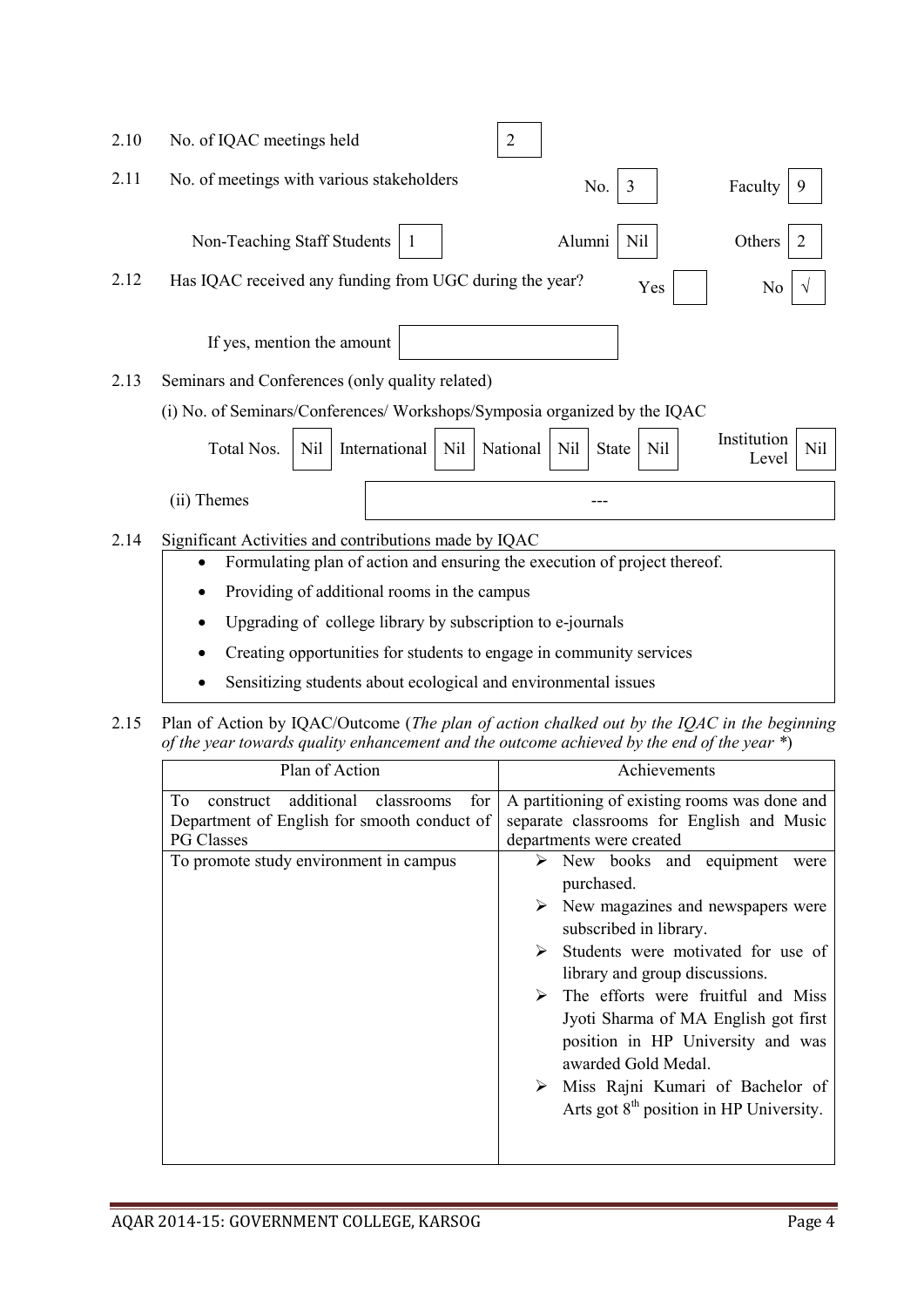| 2.10 | No. of IQAC meetings held<br>2                                                                                                        |
|------|---------------------------------------------------------------------------------------------------------------------------------------|
| 2.11 | No. of meetings with various stakeholders<br>No.<br>3<br>Faculty                                                                      |
|      | Nil<br>Non-Teaching Staff Students<br>Alumni<br>Others<br>2                                                                           |
| 2.12 | Has IQAC received any funding from UGC during the year?<br>Yes<br>No                                                                  |
|      | If yes, mention the amount                                                                                                            |
| 2.13 | Seminars and Conferences (only quality related)                                                                                       |
|      | (i) No. of Seminars/Conferences/Workshops/Symposia organized by the IQAC                                                              |
|      | Institution<br>Total Nos.<br>International<br>National<br>Nil<br>N <sub>il</sub><br>Nil<br><b>Nil</b><br><b>State</b><br>Nil<br>Level |
|      | (ii) Themes                                                                                                                           |
| 2.14 | Significant Activities and contributions made by IQAC                                                                                 |
|      | Formulating plan of action and ensuring the execution of project thereof.                                                             |
|      | Providing of additional rooms in the campus<br>$\bullet$                                                                              |
|      | Upgrading of college library by subscription to e-journals                                                                            |
|      | Creating opportunities for students to engage in community services                                                                   |

- Sensitizing students about ecological and environmental issues
- 2.15 Plan of Action by IQAC/Outcome (*The plan of action chalked out by the IQAC in the beginning of the year towards quality enhancement and the outcome achieved by the end of the year \**)

| Plan of Action                                                                                                                                                   | Achievements                                                                                                                                                                                                                                                                                                                                                                                                                                                                                                                                           |  |  |
|------------------------------------------------------------------------------------------------------------------------------------------------------------------|--------------------------------------------------------------------------------------------------------------------------------------------------------------------------------------------------------------------------------------------------------------------------------------------------------------------------------------------------------------------------------------------------------------------------------------------------------------------------------------------------------------------------------------------------------|--|--|
| additional<br>for<br>To<br>construct<br>classrooms<br>Department of English for smooth conduct of<br><b>PG Classes</b><br>To promote study environment in campus | A partitioning of existing rooms was done and<br>separate classrooms for English and Music<br>departments were created<br>$\triangleright$ New books and equipment were<br>purchased.<br>$\triangleright$ New magazines and newspapers were<br>subscribed in library.<br>Students were motivated for use of<br>≻<br>library and group discussions.<br>The efforts were fruitful and Miss<br>≻<br>Jyoti Sharma of MA English got first<br>position in HP University and was<br>awarded Gold Medal.<br>$\triangleright$ Miss Rajni Kumari of Bachelor of |  |  |
|                                                                                                                                                                  | Arts got $8th$ position in HP University.                                                                                                                                                                                                                                                                                                                                                                                                                                                                                                              |  |  |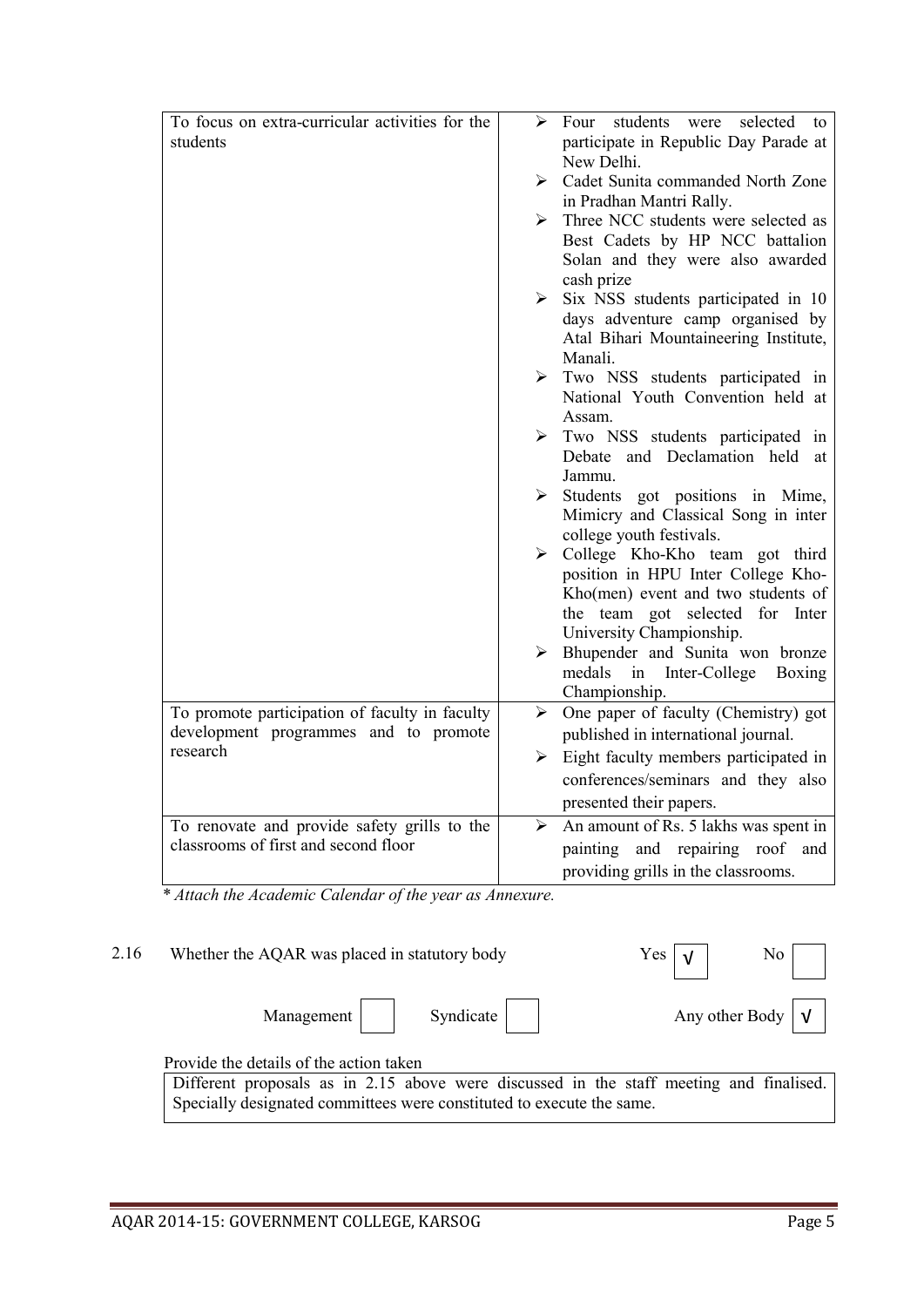| To focus on extra-curricular activities for the<br>students                             | students were<br>selected<br>⋗<br>Four<br>to<br>participate in Republic Day Parade at<br>New Delhi.                                                                                        |
|-----------------------------------------------------------------------------------------|--------------------------------------------------------------------------------------------------------------------------------------------------------------------------------------------|
|                                                                                         | Cadet Sunita commanded North Zone<br>➤<br>in Pradhan Mantri Rally.                                                                                                                         |
|                                                                                         | Three NCC students were selected as<br>≻<br>Best Cadets by HP NCC battalion<br>Solan and they were also awarded<br>cash prize                                                              |
|                                                                                         | $\triangleright$ Six NSS students participated in 10<br>days adventure camp organised by<br>Atal Bihari Mountaineering Institute,<br>Manali.                                               |
|                                                                                         | $\triangleright$ Two NSS students participated in<br>National Youth Convention held at<br>Assam.                                                                                           |
|                                                                                         | $\triangleright$ Two NSS students participated in<br>Debate and Declamation held<br>at<br>Jammu.                                                                                           |
|                                                                                         | $\triangleright$ Students got positions in Mime,<br>Mimicry and Classical Song in inter<br>college youth festivals.                                                                        |
|                                                                                         | $\triangleright$ College Kho-Kho team got third<br>position in HPU Inter College Kho-<br>Kho(men) event and two students of<br>the team got selected for Inter<br>University Championship. |
|                                                                                         | $\triangleright$ Bhupender and Sunita won bronze<br>medals<br>Inter-College Boxing<br>in<br>Championship.                                                                                  |
| To promote participation of faculty in faculty<br>development programmes and to promote | One paper of faculty (Chemistry) got<br>≻                                                                                                                                                  |
| research                                                                                | published in international journal.<br>Eight faculty members participated in<br>➤                                                                                                          |
|                                                                                         | conferences/seminars and they also                                                                                                                                                         |
|                                                                                         | presented their papers.                                                                                                                                                                    |
| To renovate and provide safety grills to the                                            | An amount of Rs. 5 lakhs was spent in<br>↘                                                                                                                                                 |
| classrooms of first and second floor                                                    | painting and repairing roof and<br>providing grills in the classrooms.                                                                                                                     |
|                                                                                         |                                                                                                                                                                                            |

*\* Attach the Academic Calendar of the year as Annexure.*

| 2.16 | Whether the AQAR was placed in statutory body                                                                                                                    | Yes<br>$\overline{N}$ <sup>0</sup>      |
|------|------------------------------------------------------------------------------------------------------------------------------------------------------------------|-----------------------------------------|
|      | Management<br>Syndicate                                                                                                                                          | Any other Body $\vert \mathbf{V} \vert$ |
|      | Provide the details of the action taken                                                                                                                          |                                         |
|      | Different proposals as in 2.15 above were discussed in the staff meeting and finalised.<br>Specially designated committees were constituted to execute the same. |                                         |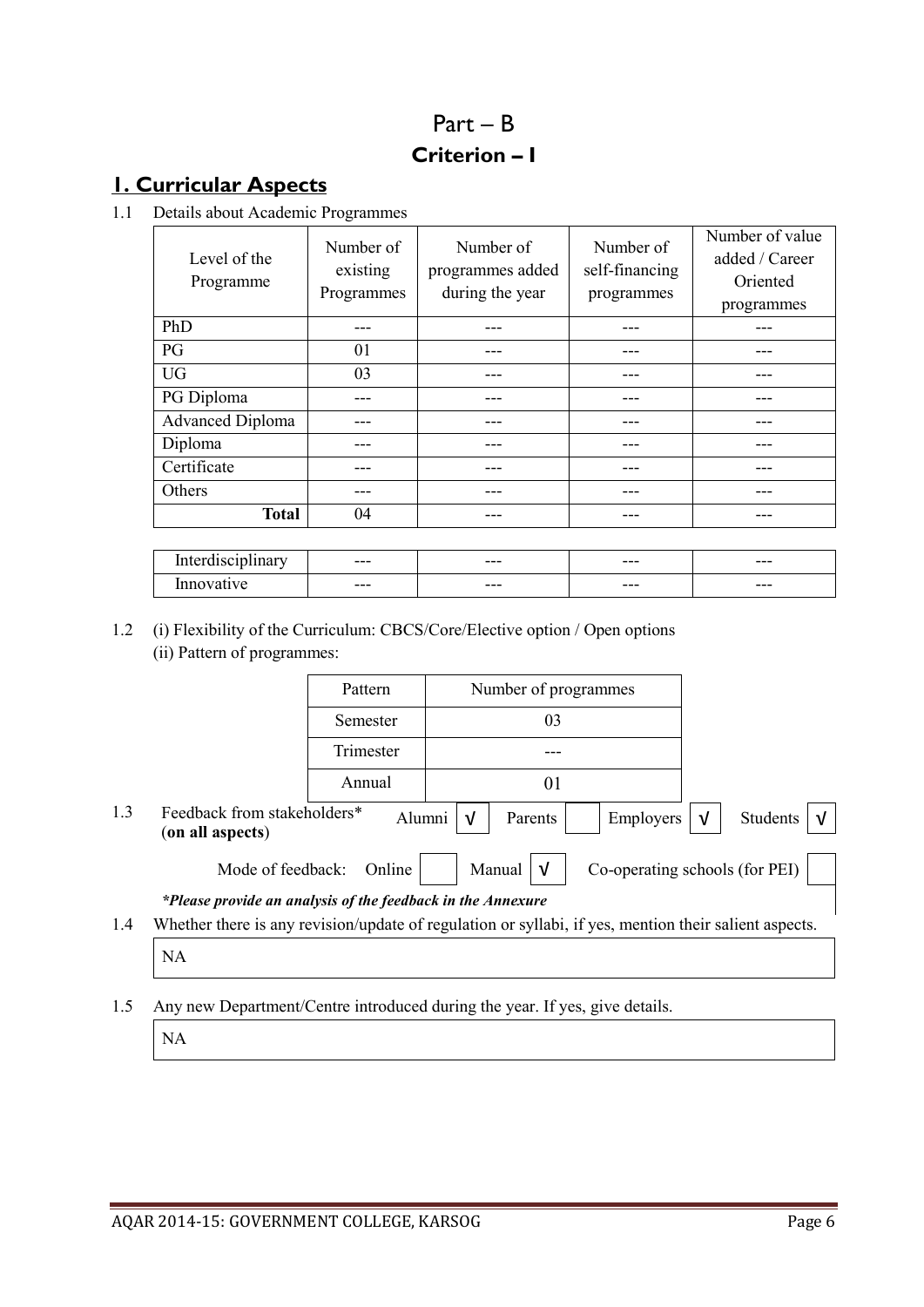# Part – B Criterion – I

# 1. Curricular Aspects

1.1 Details about Academic Programmes

| Level of the<br>Programme   | Number of<br>existing<br>Programmes | Number of<br>programmes added<br>during the year | Number of<br>self-financing<br>programmes | Number of value<br>added / Career<br>Oriented<br>programmes |
|-----------------------------|-------------------------------------|--------------------------------------------------|-------------------------------------------|-------------------------------------------------------------|
| PhD                         |                                     |                                                  |                                           |                                                             |
| PG                          | 01                                  |                                                  |                                           |                                                             |
| <b>UG</b>                   | 03                                  |                                                  |                                           |                                                             |
| PG Diploma                  |                                     |                                                  |                                           |                                                             |
| <b>Advanced Diploma</b>     |                                     |                                                  |                                           |                                                             |
| Diploma                     |                                     |                                                  |                                           |                                                             |
| Certificate                 |                                     |                                                  |                                           |                                                             |
| Others                      |                                     |                                                  | ---                                       |                                                             |
| <b>Total</b>                | 04                                  |                                                  |                                           |                                                             |
| $-7.77$ , $-1.77$ , $-1.77$ |                                     |                                                  |                                           |                                                             |

| . .<br>. . | $- - -$ | --- | --- | $- - -$ |
|------------|---------|-----|-----|---------|
|            | $- - -$ | --- | --- | $- - -$ |
|            |         |     |     |         |

## 1.2 (i) Flexibility of the Curriculum: CBCS/Core/Elective option / Open options (ii) Pattern of programmes:

|     |                                                                                                       | Pattern                                                                      | Number of programmes                                                        |  |
|-----|-------------------------------------------------------------------------------------------------------|------------------------------------------------------------------------------|-----------------------------------------------------------------------------|--|
|     |                                                                                                       | Semester                                                                     | 03                                                                          |  |
|     |                                                                                                       | Trimester                                                                    |                                                                             |  |
|     |                                                                                                       | Annual                                                                       | 01                                                                          |  |
| 1.3 | Feedback from stakeholders*<br>(on all aspects)                                                       | Alumni                                                                       | Students<br>Employers<br>Parents<br>V<br>v                                  |  |
|     |                                                                                                       | Mode of feedback:<br>Online<br>Manual<br>Co-operating schools (for PEI)<br>Ν |                                                                             |  |
|     | *Please provide an analysis of the feedback in the Annexure                                           |                                                                              |                                                                             |  |
| 1.4 | Whether there is any revision/update of regulation or syllabi, if yes, mention their salient aspects. |                                                                              |                                                                             |  |
|     | <b>NA</b>                                                                                             |                                                                              |                                                                             |  |
| 1.5 |                                                                                                       |                                                                              | Any new Department/Centre introduced during the year. If yes, give details. |  |

NA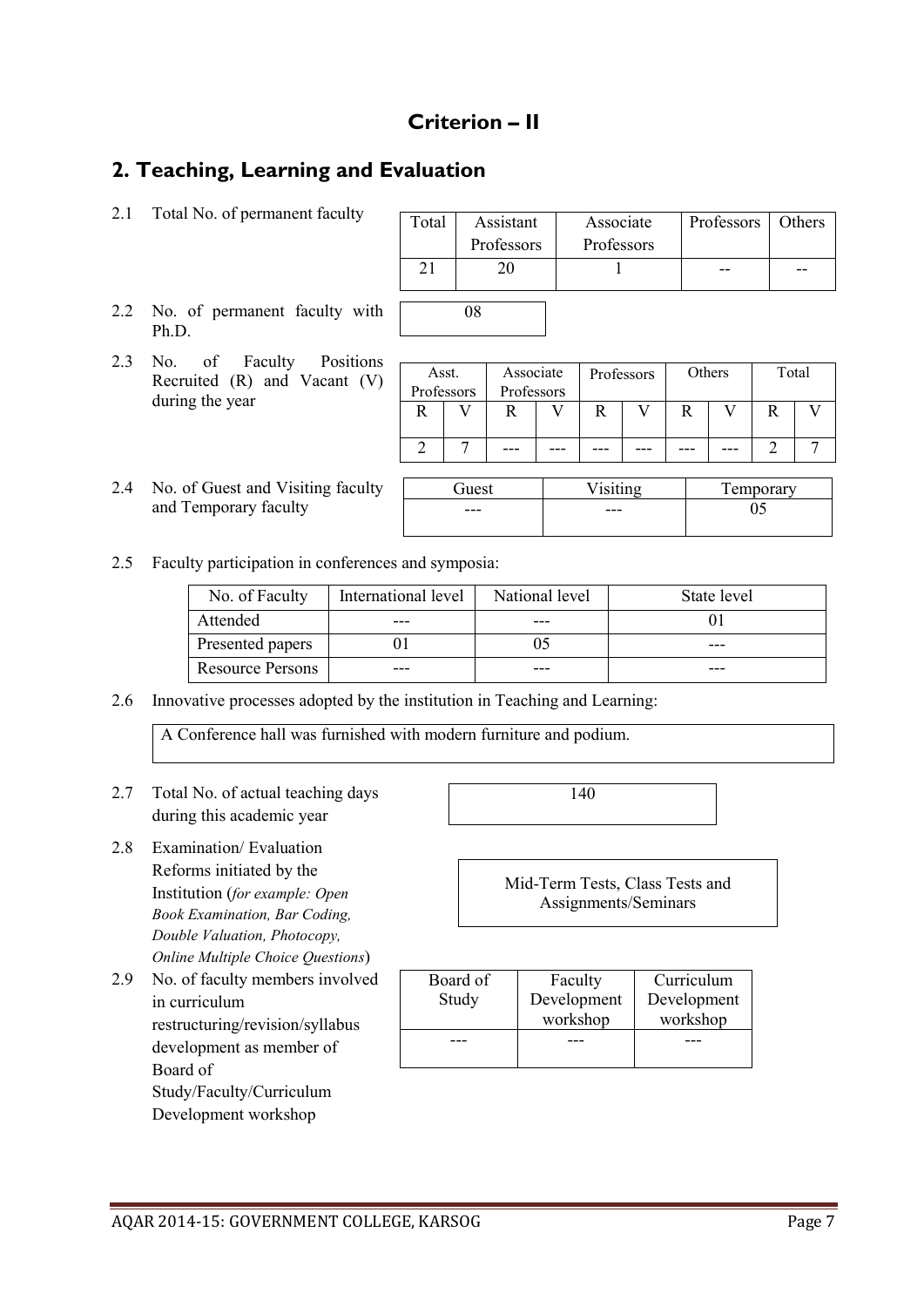## Criterion – II

Asst.

## 2. Teaching, Learning and Evaluation

2.1 Total No. of permanent faculty

| Total | Assistant  | Associate  | Professors   Others |  |
|-------|------------|------------|---------------------|--|
|       | Professors | Professors |                     |  |
|       |            |            |                     |  |
|       |            |            |                     |  |
|       |            |            |                     |  |

- 2.2 No. of permanent faculty with Ph.D.
- 2.3 No. of Faculty Positions Recruited (R) and Vacant (V) during the year
- 2.4 No. of Guest and Visiting faculty and Temporary faculty

|       | Professors | Professors |          |   |  |  |           |   |  |
|-------|------------|------------|----------|---|--|--|-----------|---|--|
|       |            |            |          | R |  |  |           | R |  |
|       |            |            |          |   |  |  |           |   |  |
|       |            |            |          |   |  |  |           |   |  |
|       |            |            |          |   |  |  |           |   |  |
| Guest |            |            | Visiting |   |  |  | Temporary |   |  |
|       |            |            |          |   |  |  |           |   |  |

Professors Others Total

2.5 Faculty participation in conferences and symposia:

| No. of Faculty   | International level | National level | State level |
|------------------|---------------------|----------------|-------------|
| Attended         |                     |                |             |
| Presented papers |                     |                |             |
| Resource Persons |                     |                |             |

Associate Professors

2.6 Innovative processes adopted by the institution in Teaching and Learning:

A Conference hall was furnished with modern furniture and podium.

- 2.7 Total No. of actual teaching days during this academic year
- 2.8 Examination/ Evaluation Reforms initiated by the Institution (*for example: Open Book Examination, Bar Coding, Double Valuation, Photocopy, Online Multiple Choice Questions*)
- 2.9 No. of faculty members involved in curriculum restructuring/revision/syllabus development as member of Board of Study/Faculty/Curriculum Development workshop

140

Mid-Term Tests, Class Tests and Assignments/Seminars

| Board of<br>Study | Faculty<br>Development<br>workshop | Curriculum<br>Development<br>workshop |
|-------------------|------------------------------------|---------------------------------------|
|                   |                                    |                                       |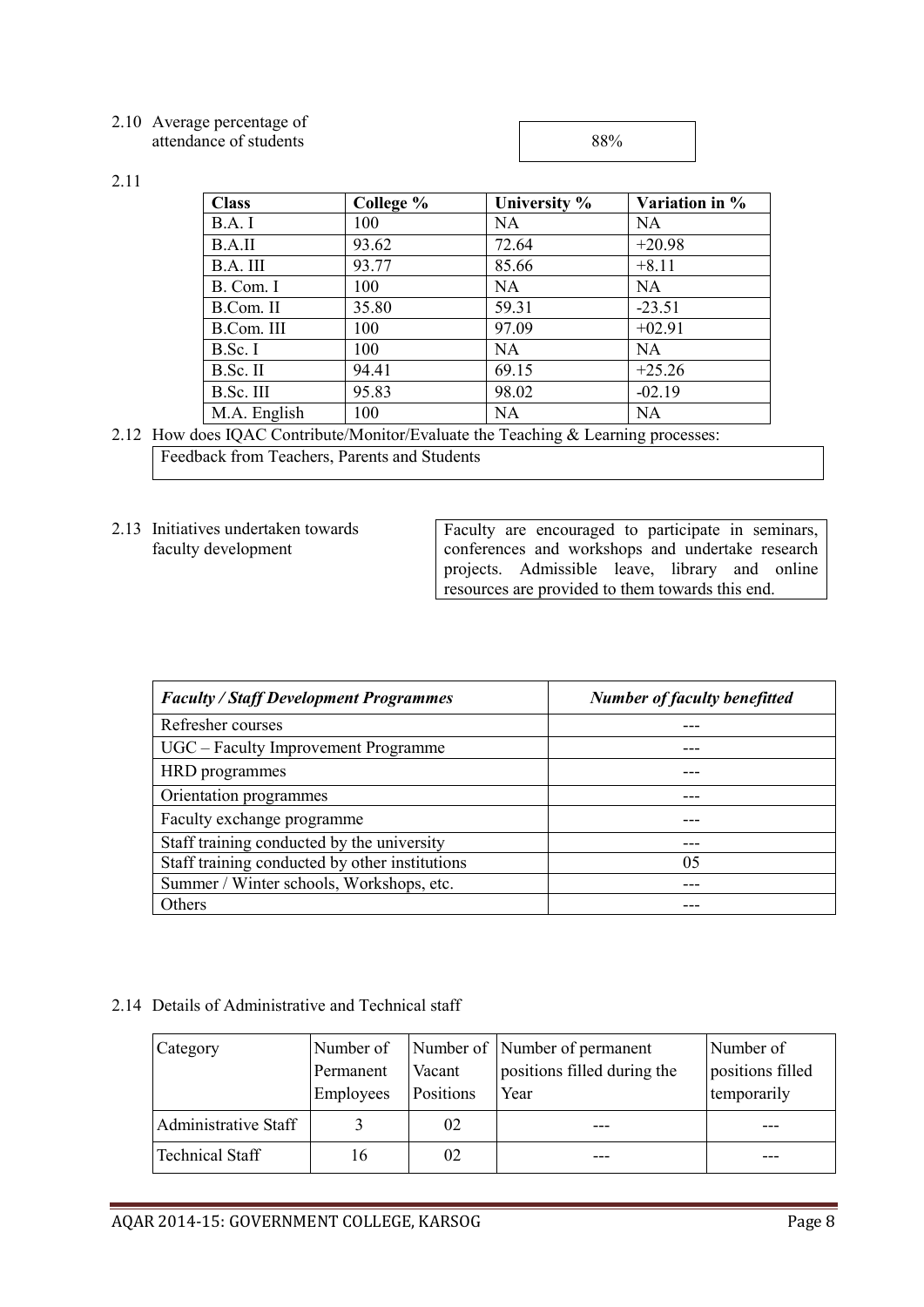| 2.10 Average percentage of |     |
|----------------------------|-----|
| attendance of students     | 88% |

2.11

| <b>Class</b> | College % | University % | Variation in % |
|--------------|-----------|--------------|----------------|
| B.A. I       | 100       | <b>NA</b>    | <b>NA</b>      |
| B.A.II       | 93.62     | 72.64        | $+20.98$       |
| B.A. III     | 93.77     | 85.66        | $+8.11$        |
| B. Com. I    | 100       | <b>NA</b>    | <b>NA</b>      |
| B.Com. II    | 35.80     | 59.31        | $-23.51$       |
| B.Com. III   | 100       | 97.09        | $+02.91$       |
| B.Sc. I      | 100       | <b>NA</b>    | <b>NA</b>      |
| B.Sc. II     | 94.41     | 69.15        | $+25.26$       |
| B.Sc. III    | 95.83     | 98.02        | $-02.19$       |
| M.A. English | 100       | <b>NA</b>    | <b>NA</b>      |

2.12 How does IQAC Contribute/Monitor/Evaluate the Teaching & Learning processes: Feedback from Teachers, Parents and Students

2.13 Initiatives undertaken towards faculty development

Faculty are encouraged to participate in seminars, conferences and workshops and undertake research projects. Admissible leave, library and online resources are provided to them towards this end.

| <b>Faculty / Staff Development Programmes</b>  | <b>Number of faculty benefitted</b> |
|------------------------------------------------|-------------------------------------|
| Refresher courses                              |                                     |
| UGC – Faculty Improvement Programme            |                                     |
| HRD programmes                                 |                                     |
| Orientation programmes                         |                                     |
| Faculty exchange programme                     |                                     |
| Staff training conducted by the university     |                                     |
| Staff training conducted by other institutions | 05                                  |
| Summer / Winter schools, Workshops, etc.       |                                     |
| Others                                         |                                     |

## 2.14 Details of Administrative and Technical staff

| Category               | Number of<br>Permanent<br>Employees | Vacant<br>Positions | Number of Number of permanent<br>positions filled during the<br>Year | Number of<br>positions filled<br>temporarily |
|------------------------|-------------------------------------|---------------------|----------------------------------------------------------------------|----------------------------------------------|
| Administrative Staff   |                                     | 02                  |                                                                      |                                              |
| <b>Technical Staff</b> | 16                                  | 02                  |                                                                      |                                              |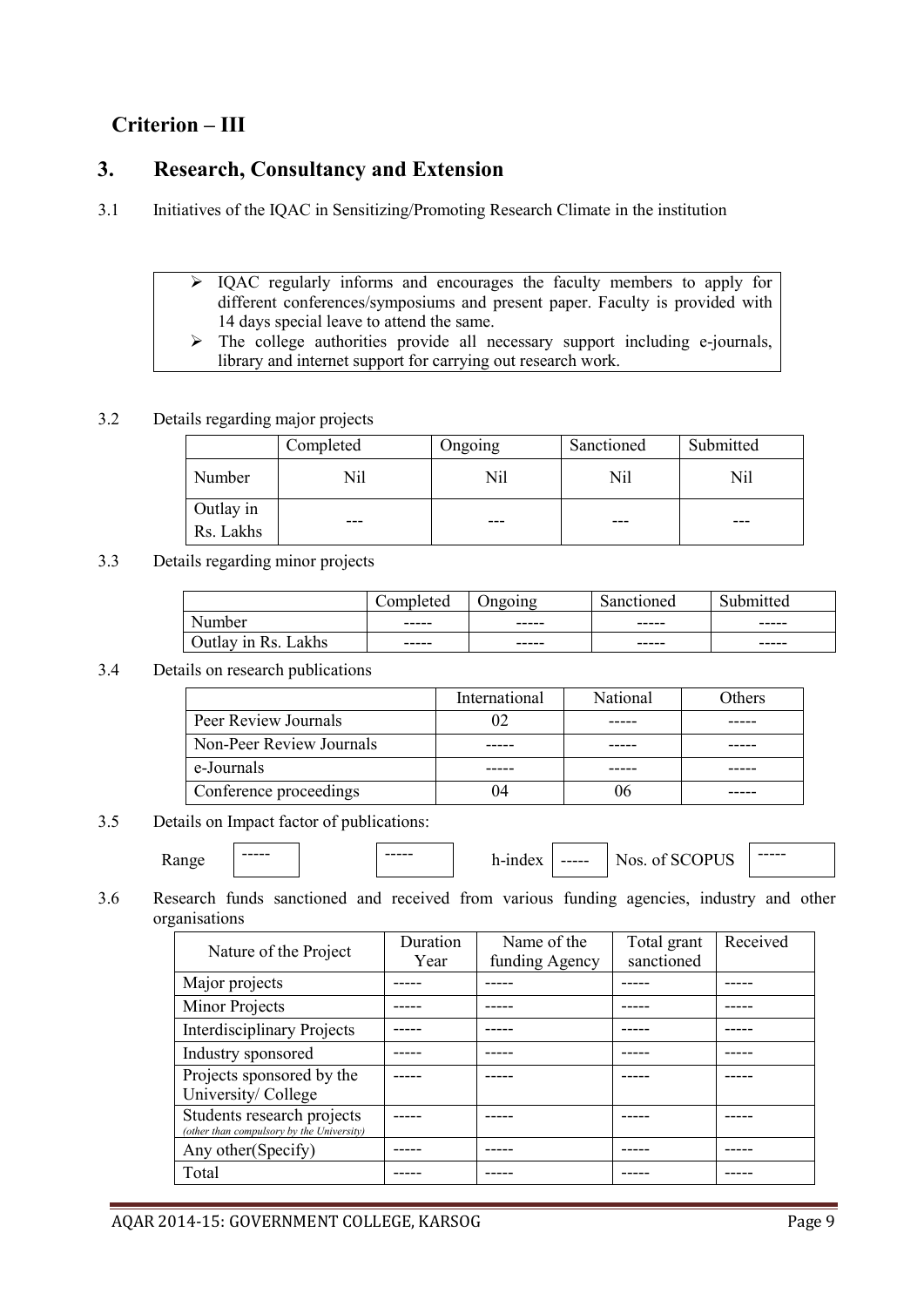## Criterion – III

## 3. Research, Consultancy and Extension

- 3.1 Initiatives of the IQAC in Sensitizing/Promoting Research Climate in the institution
	- IQAC regularly informs and encourages the faculty members to apply for different conferences/symposiums and present paper. Faculty is provided with 14 days special leave to attend the same.
	- $\triangleright$  The college authorities provide all necessary support including e-journals, library and internet support for carrying out research work.

#### 3.2 Details regarding major projects

|                        | Completed | Ongoing | Sanctioned | Submitted |
|------------------------|-----------|---------|------------|-----------|
| Number                 | Nil       | Nil     | Nil        | Nil       |
| Outlay in<br>Rs. Lakhs | ---       | ---     | ---        | ---       |

#### 3.3 Details regarding minor projects

|                         | ∠ompleted | $\bullet$<br>Jngoing | Sanctioned | Submitted |
|-------------------------|-----------|----------------------|------------|-----------|
| umber                   | -----     | ------               | -----      | -----     |
| Re<br>Dutlav in<br>akhs | -----     | ------               | -----      | -----     |

#### 3.4 Details on research publications

|                          | International | National | Others |
|--------------------------|---------------|----------|--------|
| Peer Review Journals     |               |          |        |
| Non-Peer Review Journals |               |          |        |
| e-Journals               |               |          |        |
| Conference proceedings   | 14            |          |        |

## 3.5 Details on Impact factor of publications:

|  | $\sim$<br>www | ------ | ----- | 10Y<br>$\sim$ | ------ | ד זמ<br>υμ<br>$\alpha$<br>าา | ------ |  |
|--|---------------|--------|-------|---------------|--------|------------------------------|--------|--|
|--|---------------|--------|-------|---------------|--------|------------------------------|--------|--|

3.6 Research funds sanctioned and received from various funding agencies, industry and other organisations

| Nature of the Project                                                   | Duration | Name of the    | Total grant | Received |
|-------------------------------------------------------------------------|----------|----------------|-------------|----------|
|                                                                         | Year     | funding Agency | sanctioned  |          |
| Major projects                                                          |          |                |             |          |
| Minor Projects                                                          |          |                |             |          |
| <b>Interdisciplinary Projects</b>                                       |          |                |             |          |
| Industry sponsored                                                      |          |                |             |          |
| Projects sponsored by the                                               |          |                |             |          |
| University/College                                                      |          |                |             |          |
| Students research projects<br>(other than compulsory by the University) |          |                |             |          |
| Any other (Specify)                                                     |          |                |             |          |
| Total                                                                   |          |                |             |          |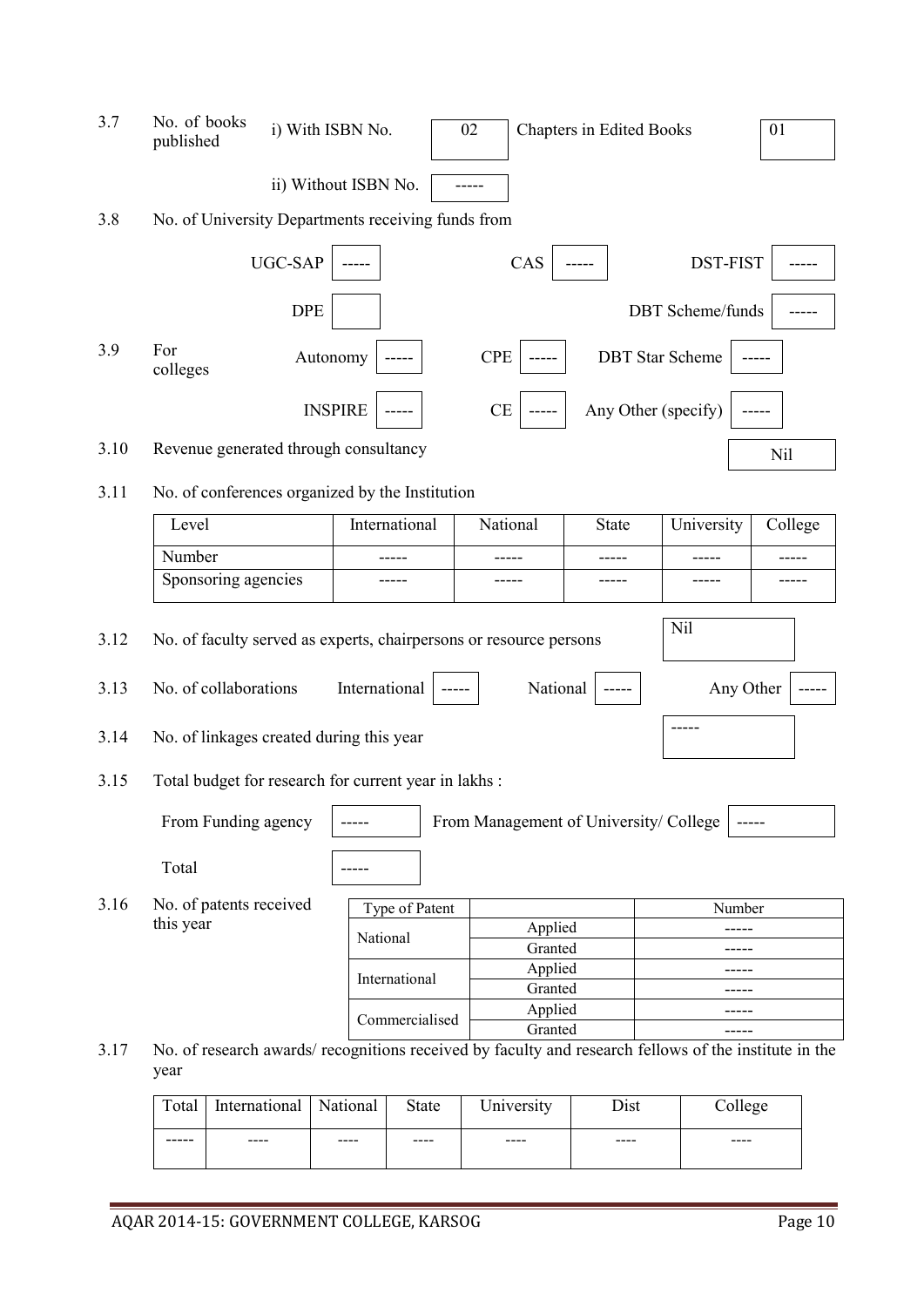| 3.7  | No. of books<br>i) With ISBN No.<br>published                                                                |                |                | 02                                     | <b>Chapters in Edited Books</b> |                        | 01              |
|------|--------------------------------------------------------------------------------------------------------------|----------------|----------------|----------------------------------------|---------------------------------|------------------------|-----------------|
|      | ii) Without ISBN No.                                                                                         |                |                |                                        |                                 |                        |                 |
| 3.8  | No. of University Departments receiving funds from                                                           |                |                |                                        |                                 |                        |                 |
|      | UGC-SAP                                                                                                      |                |                | CAS                                    |                                 | DST-FIST               |                 |
|      | <b>DPE</b>                                                                                                   |                |                |                                        |                                 | DBT Scheme/funds       |                 |
| 3.9  | For<br>colleges                                                                                              | Autonomy       |                | <b>CPE</b>                             |                                 | <b>DBT</b> Star Scheme |                 |
|      |                                                                                                              | <b>INSPIRE</b> |                | CE                                     | Any Other (specify)             |                        |                 |
| 3.10 | Revenue generated through consultancy                                                                        |                |                |                                        |                                 |                        | N <sub>il</sub> |
| 3.11 | No. of conferences organized by the Institution                                                              |                |                |                                        |                                 |                        |                 |
|      | Level                                                                                                        |                | International  | National                               | <b>State</b>                    | University             | College         |
|      | Number                                                                                                       |                |                |                                        |                                 |                        |                 |
|      | Sponsoring agencies                                                                                          |                |                |                                        |                                 |                        |                 |
| 3.12 | No. of faculty served as experts, chairpersons or resource persons                                           |                |                |                                        |                                 | Nil                    |                 |
| 3.13 | No. of collaborations                                                                                        | International  |                | National                               |                                 | Any Other              |                 |
| 3.14 | No. of linkages created during this year                                                                     |                |                |                                        |                                 |                        |                 |
| 3.15 | Total budget for research for current year in lakhs :                                                        |                |                |                                        |                                 |                        |                 |
|      | From Funding agency                                                                                          |                |                | From Management of University/ College |                                 |                        |                 |
|      | Total                                                                                                        |                |                |                                        |                                 |                        |                 |
| 3.16 | No. of patents received                                                                                      |                | Type of Patent |                                        |                                 | Number                 |                 |
|      | this year                                                                                                    | National       |                | Applied                                |                                 |                        |                 |
|      |                                                                                                              |                |                | Granted                                |                                 |                        |                 |
|      |                                                                                                              |                | International  | Applied<br>Granted                     |                                 |                        |                 |
|      |                                                                                                              |                |                | Applied                                |                                 |                        |                 |
|      |                                                                                                              |                | Commercialised | Granted                                |                                 |                        |                 |
| 3.17 | No. of research awards/recognitions received by faculty and research fellows of the institute in the<br>year |                |                |                                        |                                 |                        |                 |
|      | International<br>Total                                                                                       | National       | <b>State</b>   | University                             | Dist                            | College                |                 |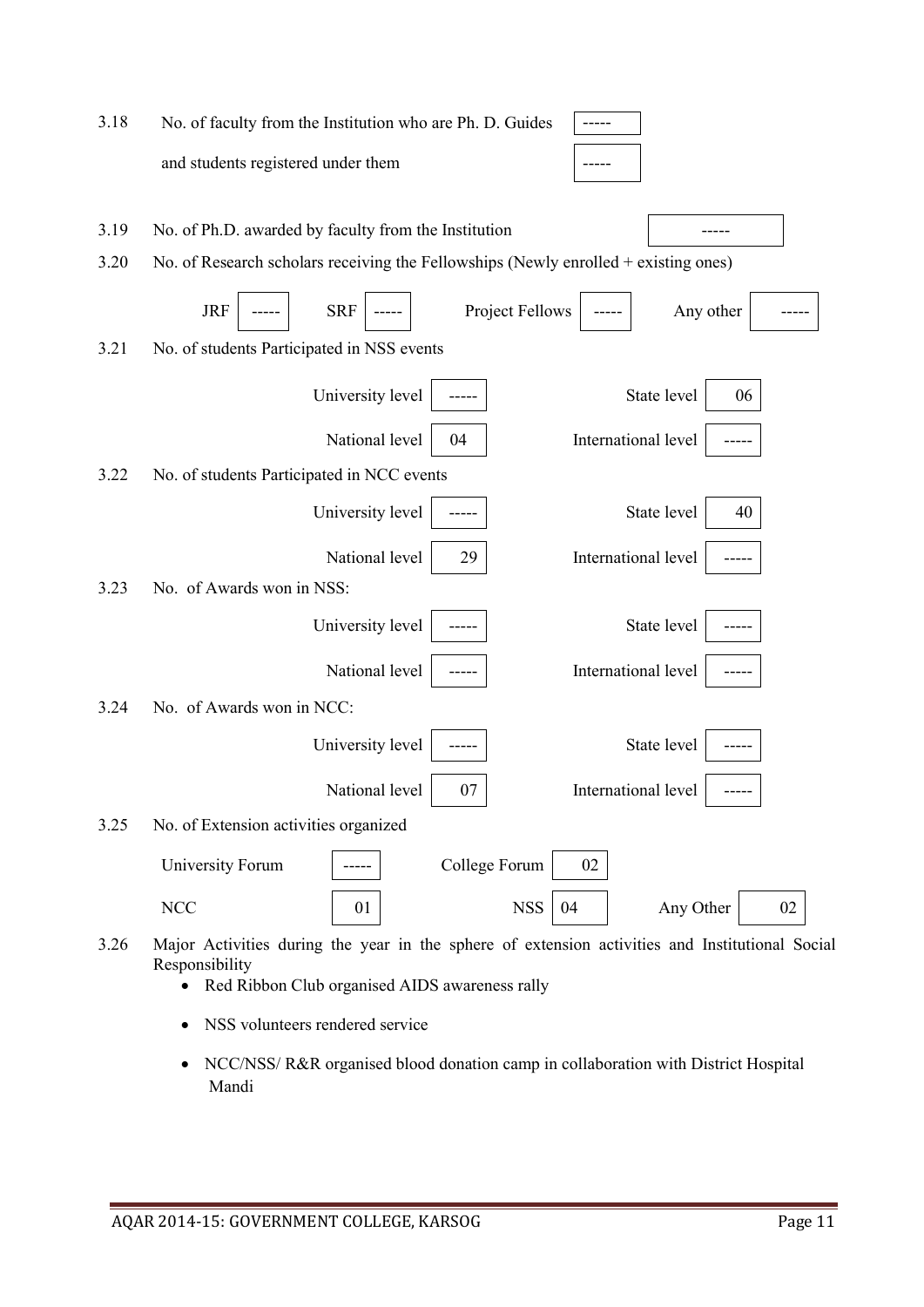| 3.18 | No. of faculty from the Institution who are Ph. D. Guides                                                                                                             |
|------|-----------------------------------------------------------------------------------------------------------------------------------------------------------------------|
|      | and students registered under them                                                                                                                                    |
|      |                                                                                                                                                                       |
| 3.19 | No. of Ph.D. awarded by faculty from the Institution                                                                                                                  |
| 3.20 | No. of Research scholars receiving the Fellowships (Newly enrolled $+$ existing ones)                                                                                 |
|      | <b>SRF</b><br>Project Fellows<br><b>JRF</b><br>Any other                                                                                                              |
| 3.21 | No. of students Participated in NSS events                                                                                                                            |
|      | State level<br>University level<br>06                                                                                                                                 |
|      | International level<br>National level<br>04                                                                                                                           |
| 3.22 | No. of students Participated in NCC events                                                                                                                            |
|      | State level<br>University level<br>40                                                                                                                                 |
|      | International level<br>National level<br>29                                                                                                                           |
| 3.23 | No. of Awards won in NSS:                                                                                                                                             |
|      | University level<br>State level                                                                                                                                       |
|      | National level<br>International level                                                                                                                                 |
| 3.24 | No. of Awards won in NCC:                                                                                                                                             |
|      | State level<br>University level                                                                                                                                       |
|      | International level<br>National level<br>07                                                                                                                           |
| 3.25 | No. of Extension activities organized                                                                                                                                 |
|      | College Forum<br>University Forum<br>02                                                                                                                               |
|      | <b>NCC</b><br><b>NSS</b><br>Any Other<br>04<br>02<br>01                                                                                                               |
| 3.26 | Major Activities during the year in the sphere of extension activities and Institutional Social<br>Responsibility<br>• Red Ribbon Club organised AIDS awareness rally |

- NSS volunteers rendered service
- NCC/NSS/ R&R organised blood donation camp in collaboration with District Hospital Mandi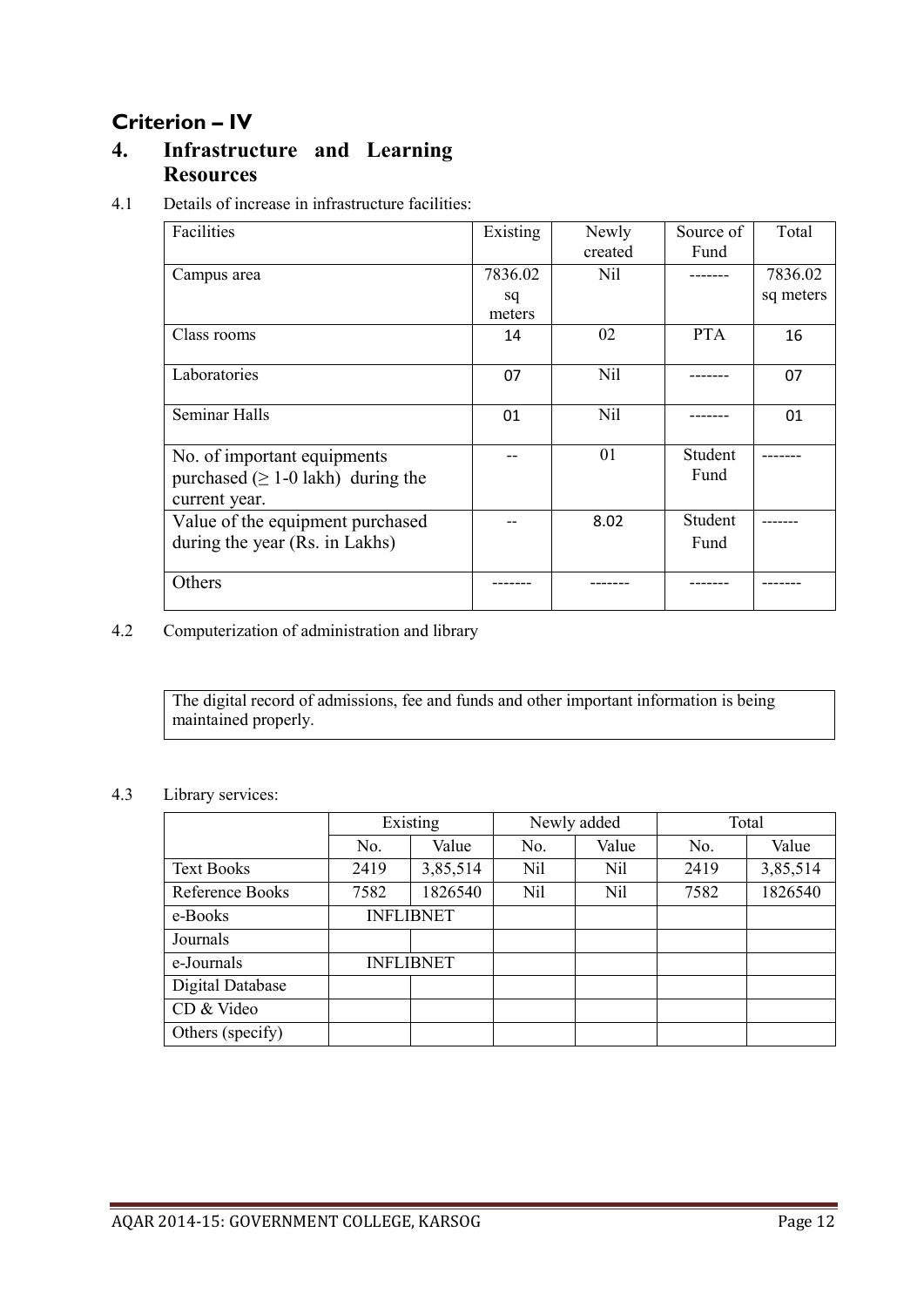# Criterion – IV

## 4. Infrastructure and Learning **Resources**

## 4.1 Details of increase in infrastructure facilities:

| Facilities                               | Existing | Newly      | Source of  | Total     |
|------------------------------------------|----------|------------|------------|-----------|
|                                          |          | created    | Fund       |           |
| Campus area                              | 7836.02  | Nil        |            | 7836.02   |
|                                          | sq       |            |            | sq meters |
|                                          | meters   |            |            |           |
| Class rooms                              | 14       | 02         | <b>PTA</b> | 16        |
|                                          |          |            |            |           |
| Laboratories                             | 07       | <b>Nil</b> |            | 07        |
|                                          |          |            |            |           |
| Seminar Halls                            | 01       | Nil        |            | 01        |
|                                          |          |            |            |           |
| No. of important equipments              |          | 01         | Student    |           |
| purchased ( $\geq 1$ -0 lakh) during the |          |            | Fund       |           |
| current year.                            |          |            |            |           |
| Value of the equipment purchased         |          | 8.02       | Student    |           |
| during the year (Rs. in Lakhs)           |          |            | Fund       |           |
|                                          |          |            |            |           |
| Others                                   |          |            |            |           |
|                                          |          |            |            |           |

4.2 Computerization of administration and library

The digital record of admissions, fee and funds and other important information is being maintained properly.

## 4.3 Library services:

|                   | Existing         |                  |                 | Newly added | Total |          |  |
|-------------------|------------------|------------------|-----------------|-------------|-------|----------|--|
|                   | No.              | Value            | No.             | Value       | No.   | Value    |  |
| <b>Text Books</b> | 2419             | 3,85,514         | Nil             | Nil         | 2419  | 3,85,514 |  |
| Reference Books   | 7582             | 1826540          | N <sub>il</sub> | Nil         | 7582  | 1826540  |  |
| e-Books           | <b>INFLIBNET</b> |                  |                 |             |       |          |  |
| Journals          |                  |                  |                 |             |       |          |  |
| e-Journals        |                  | <b>INFLIBNET</b> |                 |             |       |          |  |
| Digital Database  |                  |                  |                 |             |       |          |  |
| CD & Video        |                  |                  |                 |             |       |          |  |
| Others (specify)  |                  |                  |                 |             |       |          |  |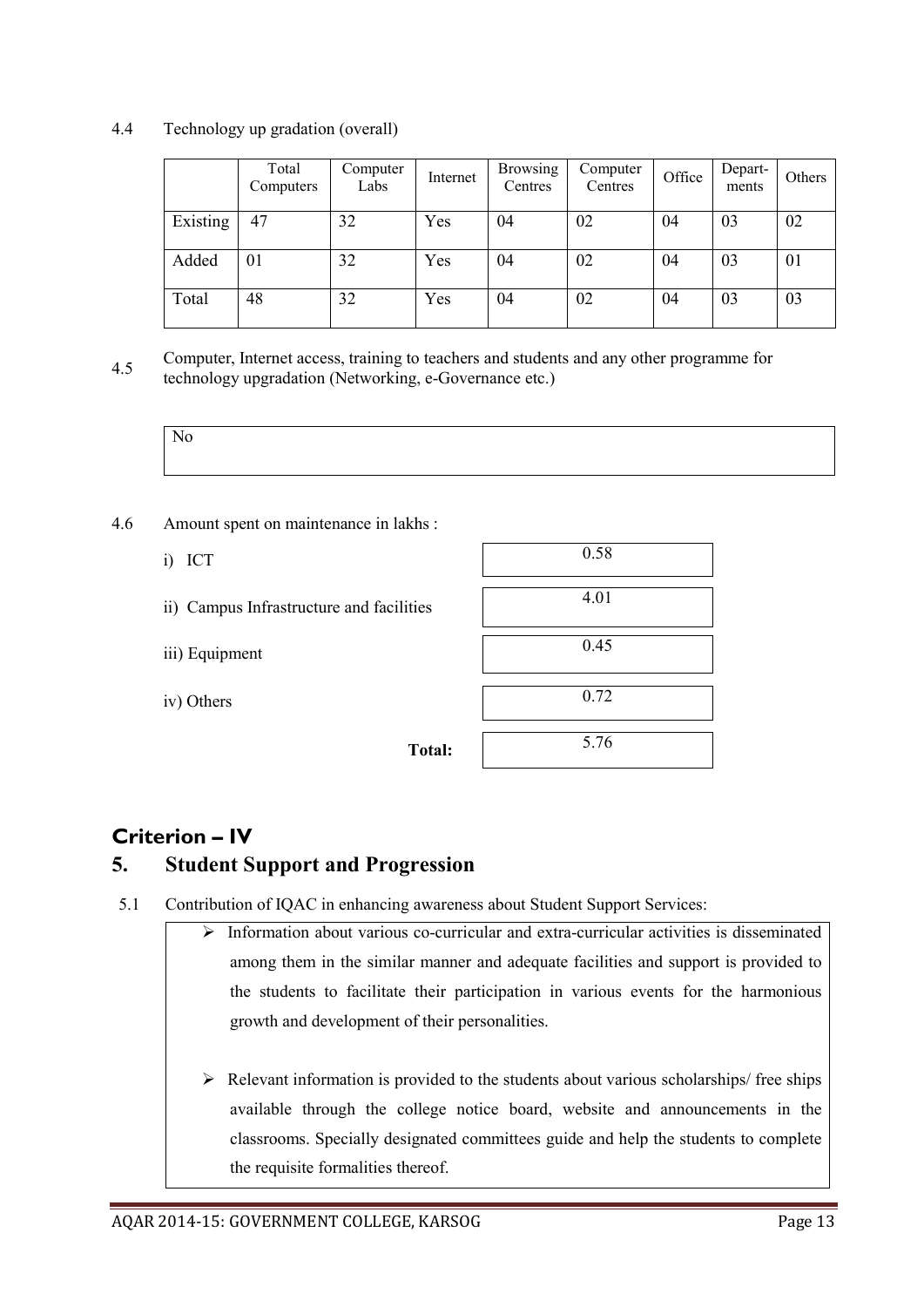## 4.4 Technology up gradation (overall)

|          | Total<br>Computers | Computer<br>Labs | Internet | <b>Browsing</b><br>Centres | Computer<br>Centres | Office | Depart-<br>ments | Others |
|----------|--------------------|------------------|----------|----------------------------|---------------------|--------|------------------|--------|
| Existing | 47                 | 32               | Yes      | 04                         | 02                  | 04     | 03               | 02     |
| Added    | 01                 | 32               | Yes      | 04                         | 02                  | 04     | 03               | 01     |
| Total    | 48                 | 32               | Yes      | 04                         | 02                  | 04     | 03               | 03     |

4.5 Computer, Internet access, training to teachers and students and any other programme for technology upgradation (Networking, e-Governance etc.)

No

- 4.6 Amount spent on maintenance in lakhs :
	-
	- ii) Campus Infrastructure and facilities
	- iii) Equipment

| i) ICT                                   | 0.58 |
|------------------------------------------|------|
| ii) Campus Infrastructure and facilities | 4.01 |
| iii) Equipment                           | 0.45 |
| iv) Others                               | 0.72 |
| <b>Total:</b>                            | 5.76 |

## Criterion – IV

## 5. Student Support and Progression

- 5.1 Contribution of IQAC in enhancing awareness about Student Support Services:
	- Information about various co-curricular and extra-curricular activities is disseminated among them in the similar manner and adequate facilities and support is provided to the students to facilitate their participation in various events for the harmonious growth and development of their personalities.
	- $\triangleright$  Relevant information is provided to the students about various scholarships/ free ships available through the college notice board, website and announcements in the classrooms. Specially designated committees guide and help the students to complete the requisite formalities thereof.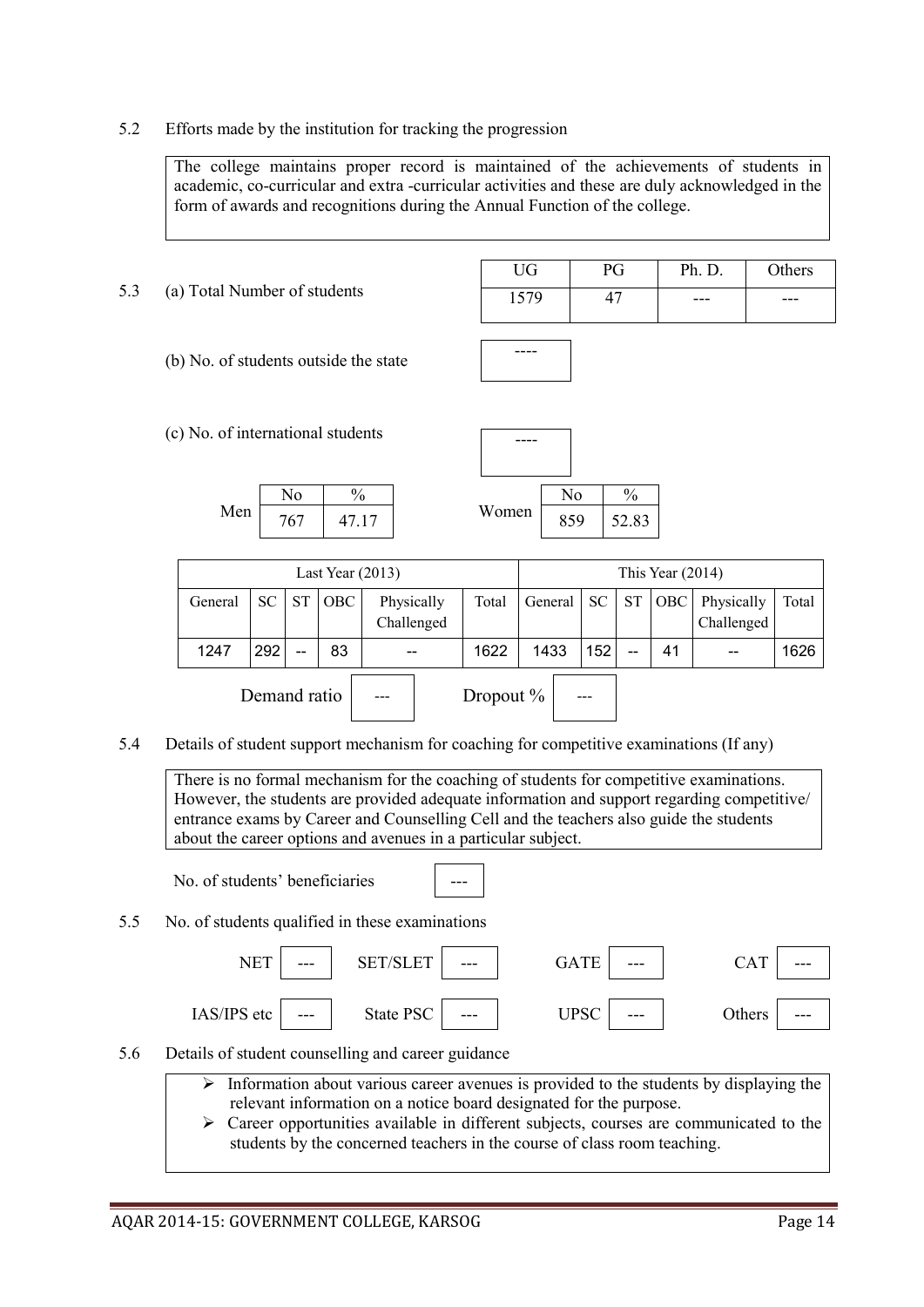5.2 Efforts made by the institution for tracking the progression

The college maintains proper record is maintained of the achievements of students in academic, co-curricular and extra -curricular activities and these are duly acknowledged in the form of awards and recognitions during the Annual Function of the college.

- 5.3 (a) Total Number of students
	- (b) No. of students outside the state ----
	- (c) No. of international students

|     | No. | 'n    |
|-----|-----|-------|
| Men | 767 | 47.17 |

|     | ational students  |       |     |       |
|-----|-------------------|-------|-----|-------|
| No  | $\mathcal{O}_{0}$ |       | No  |       |
| 767 | 47.17             | Women | 859 | 52.83 |

UG PG Ph. D. Others  $1579$  47 --- --

| Last Year $(2013)$ |              |           |            |                          |              |       |         | This Year $(2014)$ |    |     |                          |       |
|--------------------|--------------|-----------|------------|--------------------------|--------------|-------|---------|--------------------|----|-----|--------------------------|-------|
| General            | SC.          | <b>ST</b> | <b>OBC</b> | Physically<br>Challenged |              | Total | General | SC                 | ST | OBC | Physically<br>Challenged | Total |
| 1247               | 292          | $- -$     | 83         | $- -$                    |              | 1622  | 1433    | 152                | -- | 41  | --                       | 1626  |
|                    | Demand ratio |           |            |                          | Dropout $\%$ |       |         |                    |    |     |                          |       |

5.4 Details of student support mechanism for coaching for competitive examinations (If any)

There is no formal mechanism for the coaching of students for competitive examinations. However, the students are provided adequate information and support regarding competitive/ entrance exams by Career and Counselling Cell and the teachers also guide the students about the career options and avenues in a particular subject.

No. of students' beneficiaries



#### 5.5 No. of students qualified in these examinations

| <b>NET</b>           | <b>SET/SLET</b> | <b>GATE</b> | <b>CAT</b> |
|----------------------|-----------------|-------------|------------|
| ---                  | $---$           | ---         | ---        |
| IAS/IPS etc          | State PSC       | <b>UPSC</b> | Others     |
| $\hspace{0.05cm}---$ | $---$           | ---         | ---        |

## 5.6 Details of student counselling and career guidance

- $\triangleright$  Information about various career avenues is provided to the students by displaying the relevant information on a notice board designated for the purpose.
- $\triangleright$  Career opportunities available in different subjects, courses are communicated to the students by the concerned teachers in the course of class room teaching.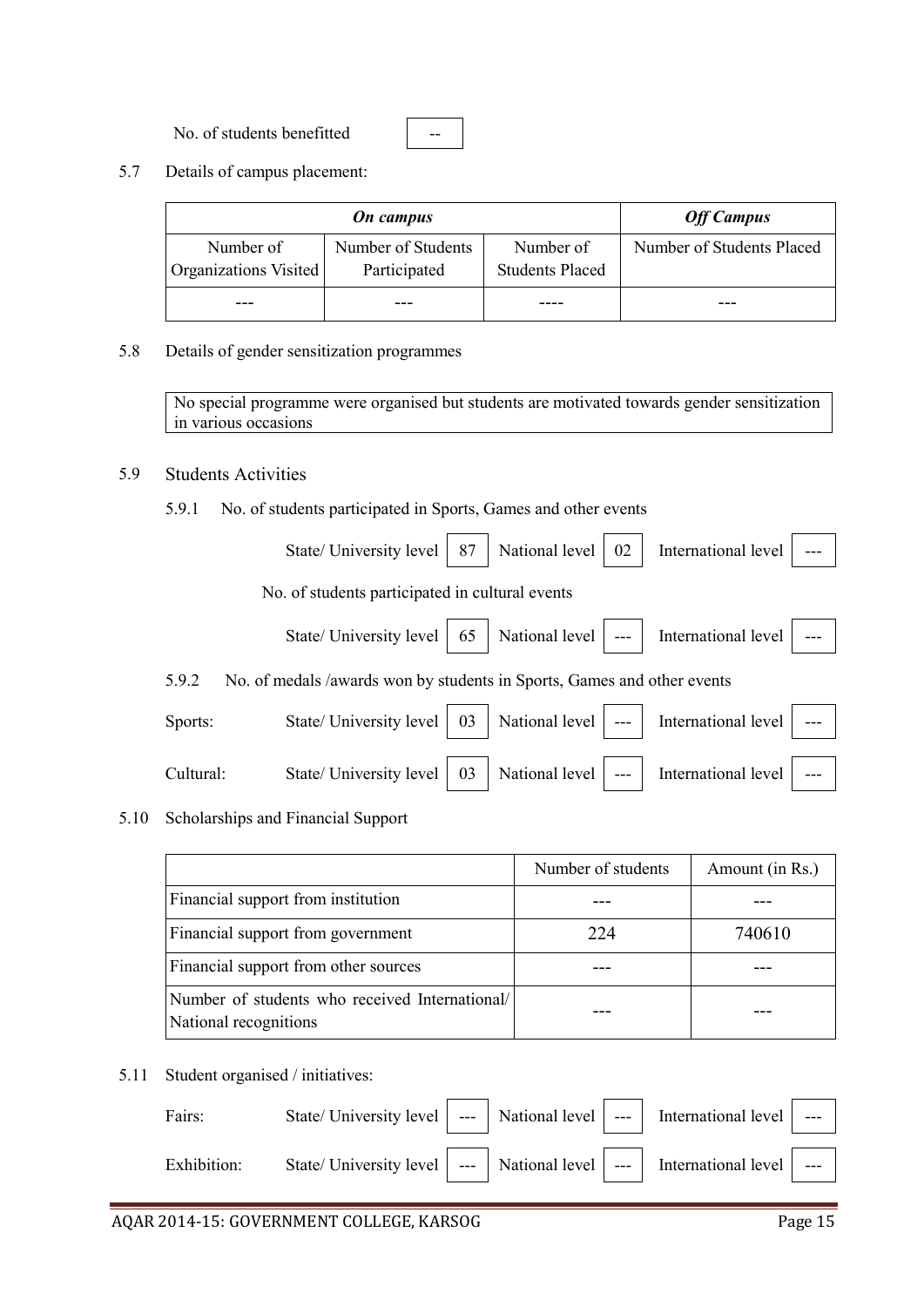No. of students benefitted --



5.7 Details of campus placement:

| <b>On</b> campus                   |                                    |                                     | <b>Off Campus</b>         |
|------------------------------------|------------------------------------|-------------------------------------|---------------------------|
| Number of<br>Organizations Visited | Number of Students<br>Participated | Number of<br><b>Students Placed</b> | Number of Students Placed |
|                                    |                                    |                                     |                           |

5.8 Details of gender sensitization programmes

No special programme were organised but students are motivated towards gender sensitization in various occasions

## 5.9 Students Activities

5.9.1 No. of students participated in Sports, Games and other events

| State/ University level   87   National level   02   International level   ---                                                                                                  |  |  |  |  |  |
|---------------------------------------------------------------------------------------------------------------------------------------------------------------------------------|--|--|--|--|--|
| No. of students participated in cultural events                                                                                                                                 |  |  |  |  |  |
| State/ University level $\begin{vmatrix} 65 \end{vmatrix}$ National level $\begin{vmatrix} -1 \\ -1 \end{vmatrix}$ International level $\begin{vmatrix} -1 \\ -1 \end{vmatrix}$ |  |  |  |  |  |
| No. of medals /awards won by students in Sports, Games and other events                                                                                                         |  |  |  |  |  |

5.9.2 No. of medals /awards won by students in Sports, Games and other events

| Sports: | State/University level $\begin{vmatrix} 03 \\ 1 \end{vmatrix}$ National level $\begin{vmatrix} -1 \\ -1 \end{vmatrix}$ International level $\begin{vmatrix} -1 \\ -1 \end{vmatrix}$ |  |  |  |
|---------|-------------------------------------------------------------------------------------------------------------------------------------------------------------------------------------|--|--|--|
|         | Cultural: State/University level 03 National level --- International level ---                                                                                                      |  |  |  |

5.10 Scholarships and Financial Support

|                                                                         | Number of students | Amount (in Rs.) |
|-------------------------------------------------------------------------|--------------------|-----------------|
| Financial support from institution                                      |                    |                 |
| Financial support from government                                       | 224                | 740610          |
| Financial support from other sources                                    |                    |                 |
| Number of students who received International/<br>National recognitions |                    |                 |

5.11 Student organised / initiatives:

| Fairs: | State/University level   ---   National level   ---   International level   ---                             |  |  |  |
|--------|-------------------------------------------------------------------------------------------------------------|--|--|--|
|        | Exhibition: State/University level $\Big $ --- National level $\Big $ ---   International level $\Big $ --- |  |  |  |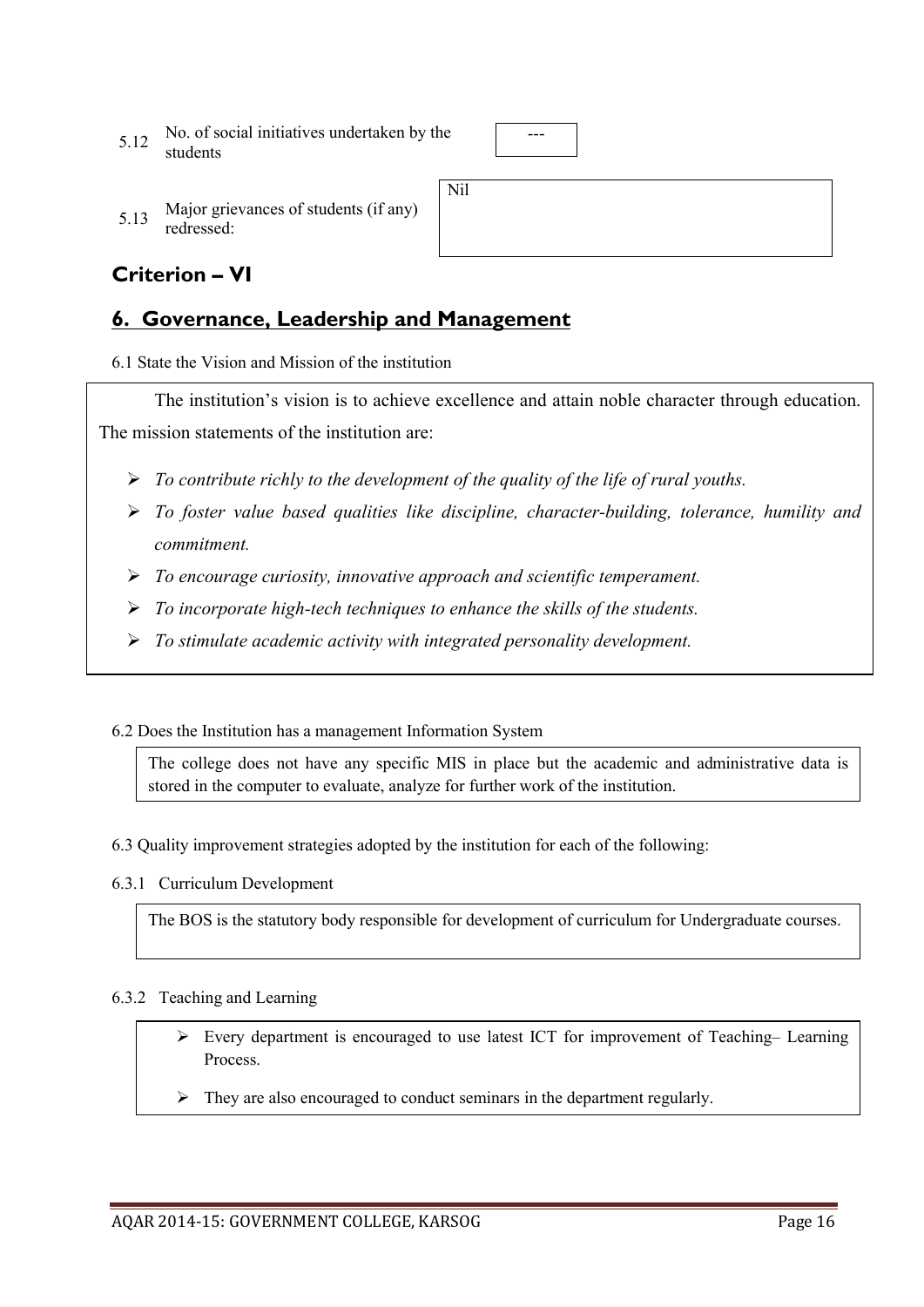5.12 No. of social initiatives undertaken by the students

| --- |
|-----|
|     |
|     |
|     |

5.13 Major grievances of students (if any) redressed:

# Criterion – VI

## 6. Governance, Leadership and Management

6.1 State the Vision and Mission of the institution

The institution's vision is to achieve excellence and attain noble character through education. The mission statements of the institution are:

Nil

- *To contribute richly to the development of the quality of the life of rural youths.*
- *To foster value based qualities like discipline, character-building, tolerance, humility and commitment.*
- *To encourage curiosity, innovative approach and scientific temperament.*
- *To incorporate high-tech techniques to enhance the skills of the students.*
- *To stimulate academic activity with integrated personality development.*

## 6.2 Does the Institution has a management Information System

The college does not have any specific MIS in place but the academic and administrative data is stored in the computer to evaluate, analyze for further work of the institution.

- 6.3 Quality improvement strategies adopted by the institution for each of the following:
- 6.3.1 Curriculum Development

The BOS is the statutory body responsible for development of curriculum for Undergraduate courses.

## 6.3.2 Teaching and Learning

- $\triangleright$  Every department is encouraged to use latest ICT for improvement of Teaching– Learning Process.
- $\triangleright$  They are also encouraged to conduct seminars in the department regularly.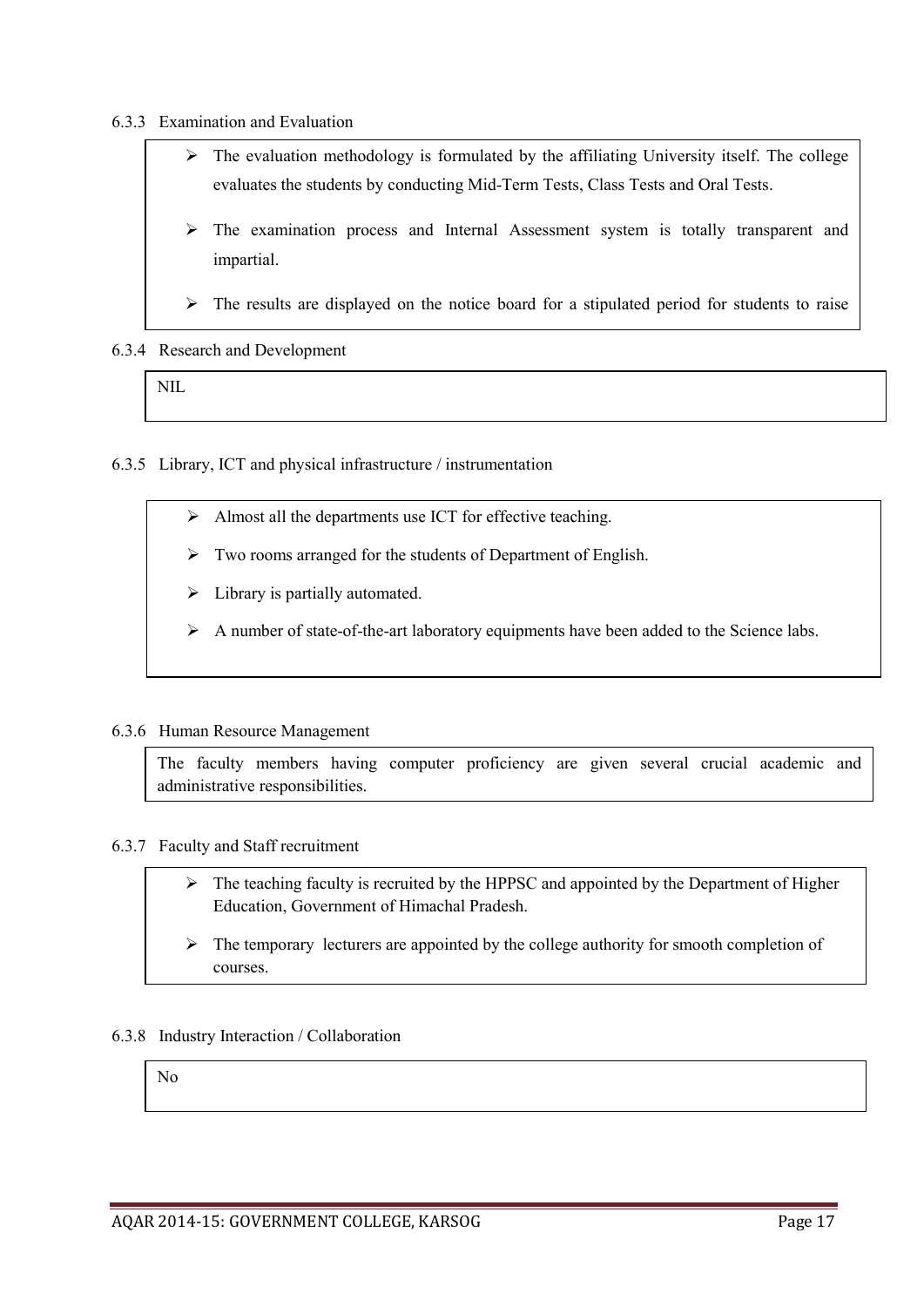## 6.3.3 Examination and Evaluation

| ➤ | The evaluation methodology is formulated by the affiliating University itself. The college                              |
|---|-------------------------------------------------------------------------------------------------------------------------|
|   | evaluates the students by conducting Mid-Term Tests, Class Tests and Oral Tests.                                        |
|   | $\triangleright$ The examination process and Internal Assessment system is totally transparent and<br><i>impartial.</i> |
|   | $\triangleright$ The results are displayed on the notice board for a stipulated period for students to raise            |

#### 6.3.4 Research and Development

NIL

6.3.5 Library, ICT and physical infrastructure / instrumentation

- $\triangleright$  Almost all the departments use ICT for effective teaching.
- > Two rooms arranged for the students of Department of English.
- $\triangleright$  Library is partially automated.
- $\triangleright$  A number of state-of-the-art laboratory equipments have been added to the Science labs.

#### 6.3.6 Human Resource Management

The faculty members having computer proficiency are given several crucial academic and administrative responsibilities.

#### 6.3.7 Faculty and Staff recruitment

- $\triangleright$  The teaching faculty is recruited by the HPPSC and appointed by the Department of Higher Education, Government of Himachal Pradesh.
- $\triangleright$  The temporary lecturers are appointed by the college authority for smooth completion of courses.

#### 6.3.8 Industry Interaction / Collaboration

No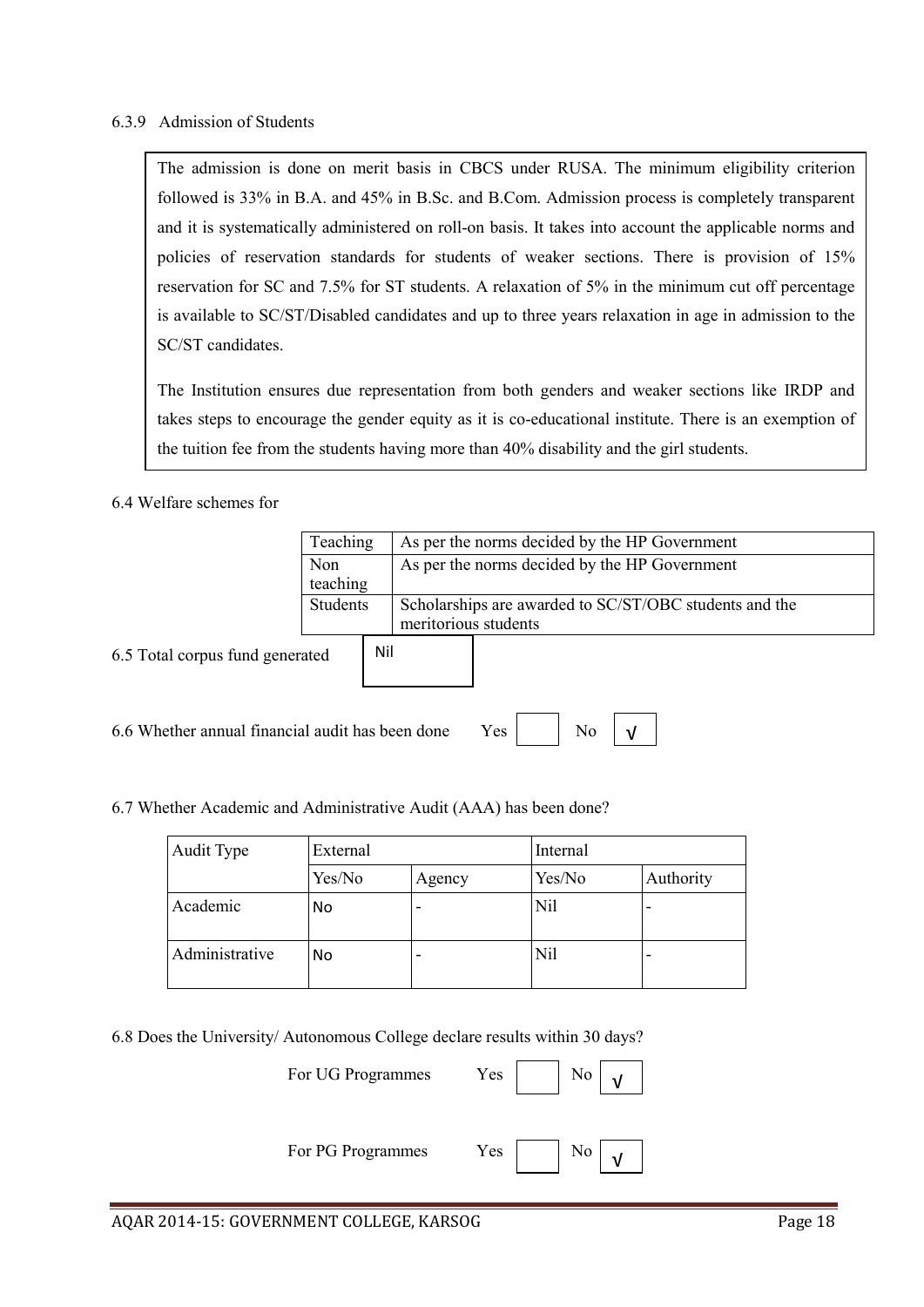#### 6.3.9 Admission of Students

The admission is done on merit basis in CBCS under RUSA. The minimum eligibility criterion followed is 33% in B.A. and 45% in B.Sc. and B.Com. Admission process is completely transparent and it is systematically administered on roll-on basis. It takes into account the applicable norms and policies of reservation standards for students of weaker sections. There is provision of 15% reservation for SC and 7.5% for ST students. A relaxation of 5% in the minimum cut off percentage is available to SC/ST/Disabled candidates and up to three years relaxation in age in admission to the SC/ST candidates.

The Institution ensures due representation from both genders and weaker sections like IRDP and takes steps to encourage the gender equity as it is co-educational institute. There is an exemption of the tuition fee from the students having more than 40% disability and the girl students.

6.4 Welfare schemes for

| Teaching | As per the norms decided by the HP Government          |
|----------|--------------------------------------------------------|
| Non      | As per the norms decided by the HP Government          |
| teaching |                                                        |
| Students | Scholarships are awarded to SC/ST/OBC students and the |
|          | meritorious students                                   |
|          |                                                        |

6.5 Total corpus fund generated

6.6 Whether annual financial audit has been done Yes

| ۱. |  |
|----|--|
|----|--|

6.7 Whether Academic and Administrative Audit (AAA) has been done?

Nil

| Audit Type     | External |        | Internal        |           |
|----------------|----------|--------|-----------------|-----------|
|                | Yes/No   | Agency | Yes/No          | Authority |
| Academic       | No       |        | N <sub>il</sub> |           |
| Administrative | No       |        | Nil             |           |

6.8 Does the University/ Autonomous College declare results within 30 days?

| For UG Programmes | Yes<br>No             |
|-------------------|-----------------------|
| For PG Programmes | Yes<br>N <sub>0</sub> |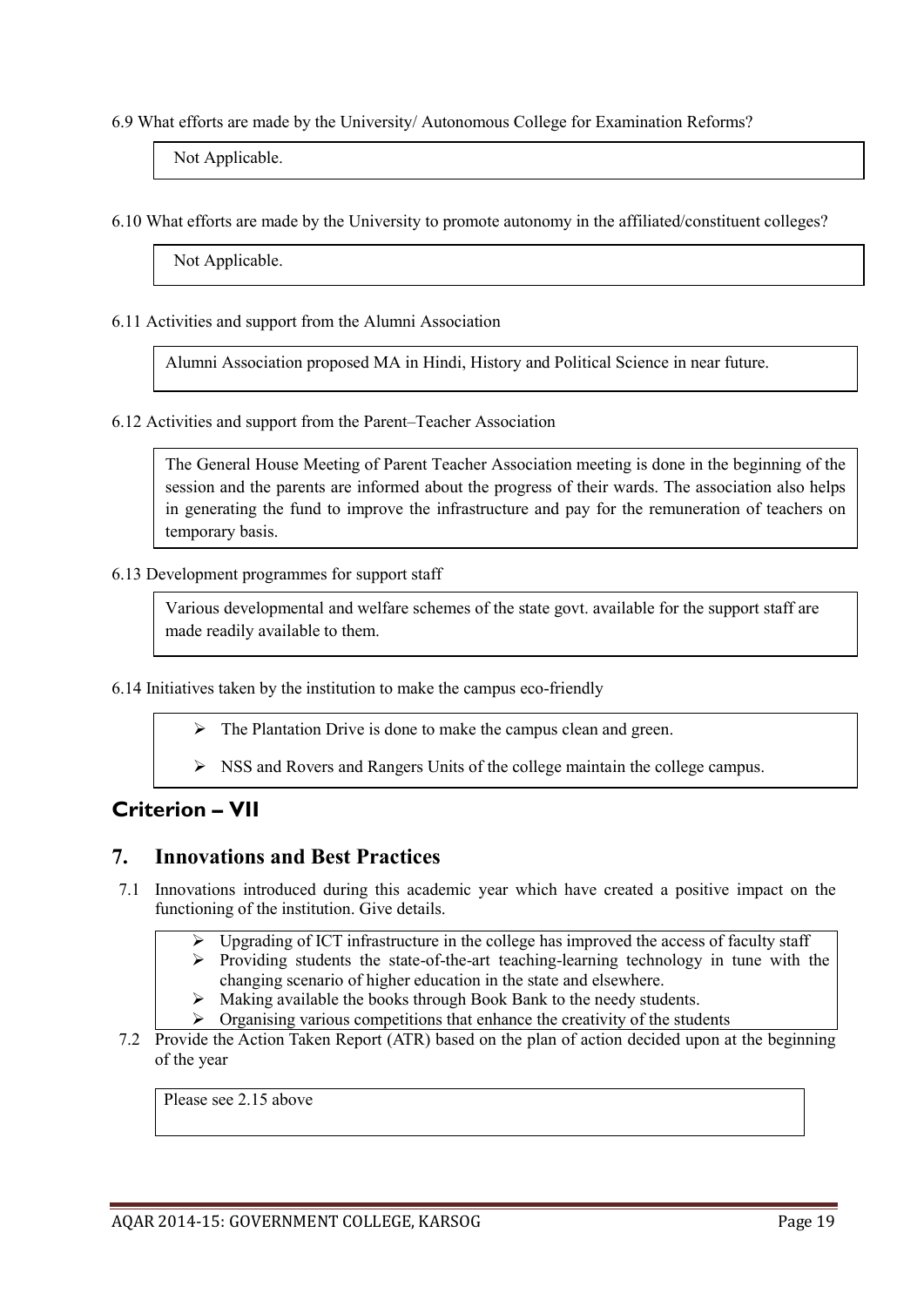#### 6.9 What efforts are made by the University/ Autonomous College for Examination Reforms?

Not Applicable.

6.10 What efforts are made by the University to promote autonomy in the affiliated/constituent colleges?

Not Applicable.

6.11 Activities and support from the Alumni Association

Alumni Association proposed MA in Hindi, History and Political Science in near future.

6.12 Activities and support from the Parent–Teacher Association

The General House Meeting of Parent Teacher Association meeting is done in the beginning of the session and the parents are informed about the progress of their wards. The association also helps in generating the fund to improve the infrastructure and pay for the remuneration of teachers on temporary basis.

6.13 Development programmes for support staff

Various developmental and welfare schemes of the state govt. available for the support staff are made readily available to them.

6.14 Initiatives taken by the institution to make the campus eco-friendly

 $\triangleright$  The Plantation Drive is done to make the campus clean and green.

 $\triangleright$  NSS and Rovers and Rangers Units of the college maintain the college campus.

## Criterion – VII

## 7. Innovations and Best Practices

- 7.1 Innovations introduced during this academic year which have created a positive impact on the functioning of the institution. Give details.
	- Upgrading of ICT infrastructure in the college has improved the access of faculty staff
	- $\triangleright$  Providing students the state-of-the-art teaching-learning technology in tune with the changing scenario of higher education in the state and elsewhere.
	- $\triangleright$  Making available the books through Book Bank to the needy students.
	- $\triangleright$  Organising various competitions that enhance the creativity of the students
- 7.2 Provide the Action Taken Report (ATR) based on the plan of action decided upon at the beginning of the year

Please see 2.15 above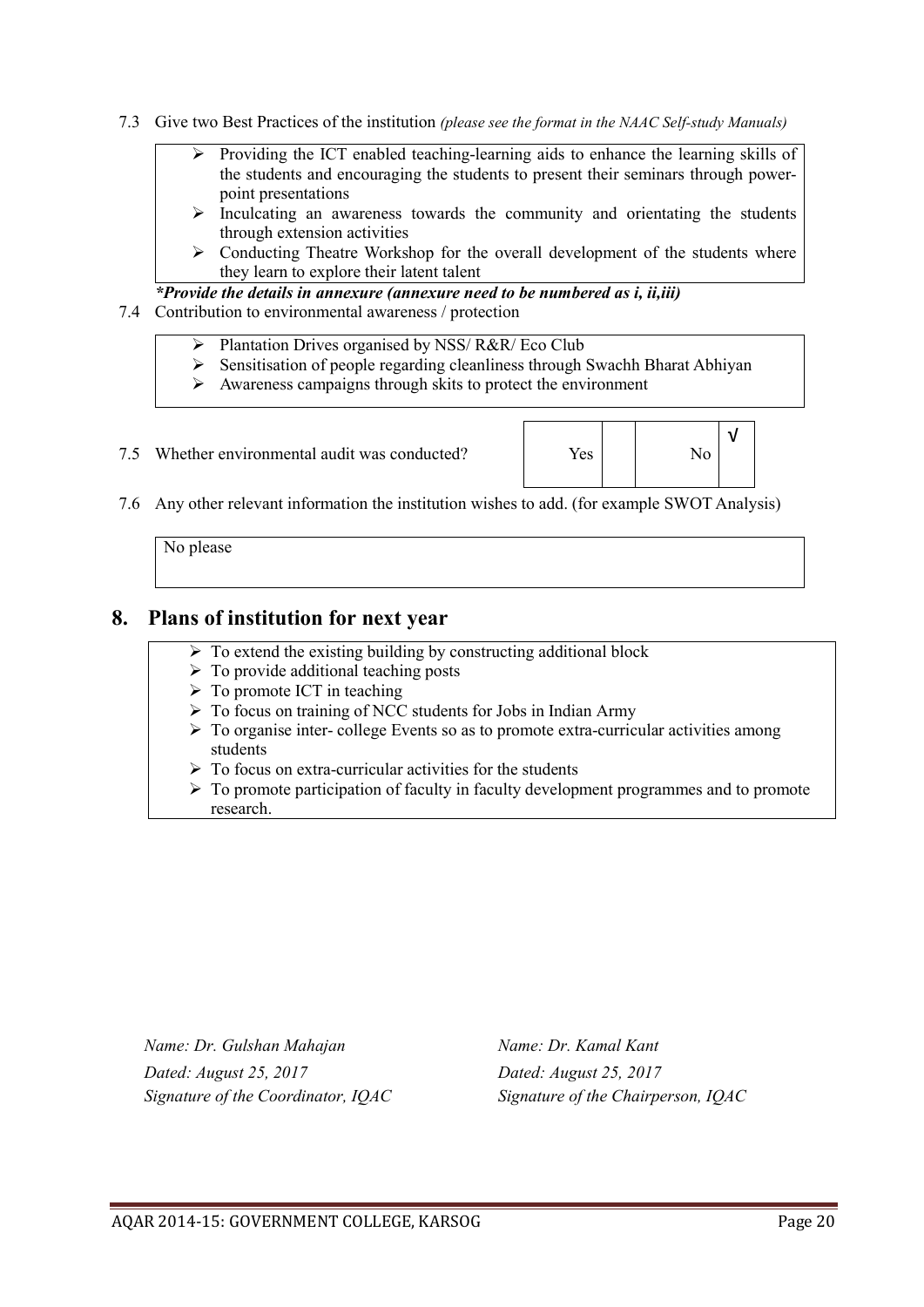- 7.3 Give two Best Practices of the institution *(please see the format in the NAAC Self-study Manuals)*
	- $\triangleright$  Providing the ICT enabled teaching-learning aids to enhance the learning skills of the students and encouraging the students to present their seminars through powerpoint presentations
	- $\triangleright$  Inculcating an awareness towards the community and orientating the students through extension activities
	- $\triangleright$  Conducting Theatre Workshop for the overall development of the students where they learn to explore their latent talent

*\*Provide the details in annexure (annexure need to be numbered as i, ii,iii)* 7.4 Contribution to environmental awareness / protection

- Plantation Drives organised by NSS/ R&R/ Eco Club
- $\triangleright$  Sensitisation of people regarding cleanliness through Swachh Bharat Abhiyan
- $\triangleright$  Awareness campaigns through skits to protect the environment

7.5 Whether environmental audit was conducted?  $\overrightarrow{Y}$  Nes  $\overrightarrow{N}$  No



7.6 Any other relevant information the institution wishes to add. (for example SWOT Analysis)

No please

## 8. Plans of institution for next year

- $\triangleright$  To extend the existing building by constructing additional block
- $\triangleright$  To provide additional teaching posts
- $\triangleright$  To promote ICT in teaching
- $\triangleright$  To focus on training of NCC students for Jobs in Indian Army
- $\triangleright$  To organise inter- college Events so as to promote extra-curricular activities among students
- $\triangleright$  To focus on extra-curricular activities for the students
- $\triangleright$  To promote participation of faculty in faculty development programmes and to promote research.

*Name: Dr. Gulshan Mahajan Name: Dr. Kamal Kant Dated: August 25, 2017 Dated: August 25, 2017*

*Signature of the Coordinator, IQAC Signature of the Chairperson, IQAC*